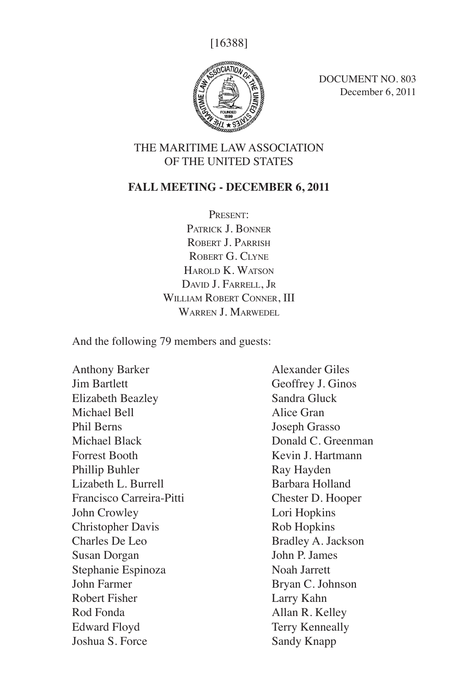[16388]



DOCUMENT NO. 803 December 6, 2011

## THE MARITIME LAW ASSOCIATION OF THE UNITED STATES

## **FALL MEETING - DECEMBER 6, 2011**

Present: Patrick J. Bonner ROBERT J. PARRISH ROBERT G. CLYNE HAROLD K. WATSON David J. Farrell, Jr WILLIAM ROBERT CONNER, III WARREN **J. MARWEDEL** 

And the following 79 members and guests:

Anthony Barker Jim Bartlett Elizabeth Beazley Michael Bell Phil Berns Michael Black Forrest Booth Phillip Buhler Lizabeth L. Burrell Francisco Carreira-Pitti John Crowley Christopher Davis Charles De Leo Susan Dorgan Stephanie Espinoza John Farmer Robert Fisher Rod Fonda Edward Floyd Joshua S. Force

Alexander Giles Geoffrey J. Ginos Sandra Gluck Alice Gran Joseph Grasso Donald C. Greenman Kevin J. Hartmann Ray Hayden Barbara Holland Chester D. Hooper Lori Hopkins Rob Hopkins Bradley A. Jackson John P. James Noah Jarrett Bryan C. Johnson Larry Kahn Allan R. Kelley Terry Kenneally Sandy Knapp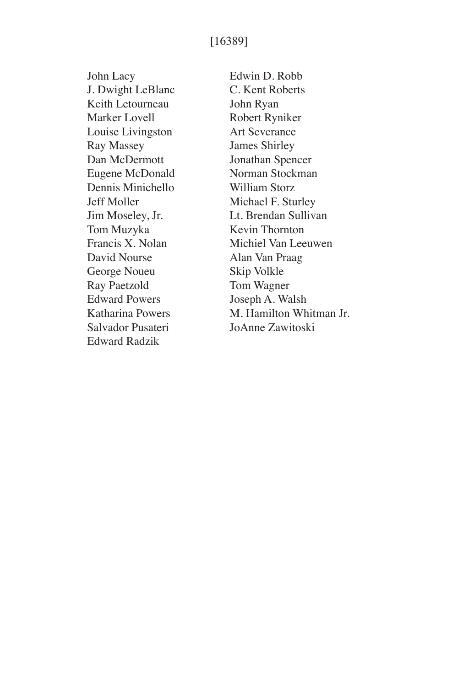## [16389]

John Lacy J. Dwight LeBlanc Keith Letourneau Marker Lovell Louise Livingston Ray Massey Dan McDermott Eugene McDonald Dennis Minichello Jeff Moller Jim Moseley, Jr. Tom Muzyka Francis X. Nolan David Nourse George Noueu Ray Paetzold Edward Powers Katharina Powers Salvador Pusateri Edward Radzik

Edwin D. Robb C. Kent Roberts John Ryan Robert Ryniker Art Severance James Shirley Jonathan Spencer Norman Stockman William Storz Michael F. Sturley Lt. Brendan Sullivan Kevin Thornton Michiel Van Leeuwen Alan Van Praag Skip Volkle Tom Wagner Joseph A. Walsh M. Hamilton Whitman Jr. JoAnne Zawitoski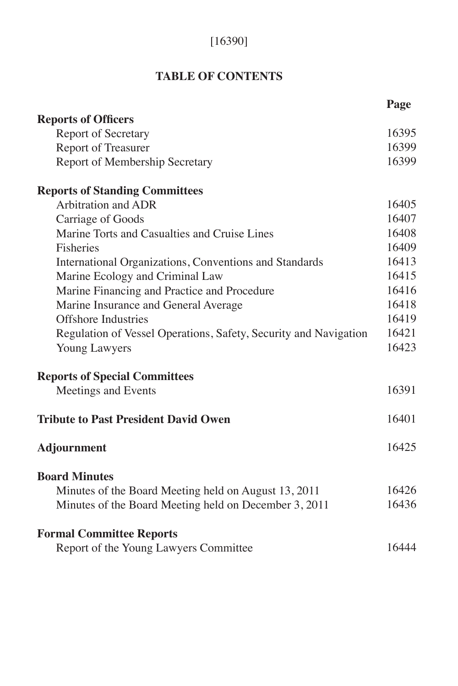# [16390]

# **TABLE OF CONTENTS**

|                                                                  | Page  |
|------------------------------------------------------------------|-------|
| <b>Reports of Officers</b>                                       |       |
| <b>Report of Secretary</b>                                       | 16395 |
| Report of Treasurer                                              | 16399 |
| Report of Membership Secretary                                   | 16399 |
| <b>Reports of Standing Committees</b>                            |       |
| <b>Arbitration and ADR</b>                                       | 16405 |
| Carriage of Goods                                                | 16407 |
| Marine Torts and Casualties and Cruise Lines                     | 16408 |
| Fisheries                                                        | 16409 |
| International Organizations, Conventions and Standards           | 16413 |
| Marine Ecology and Criminal Law                                  | 16415 |
| Marine Financing and Practice and Procedure                      | 16416 |
| Marine Insurance and General Average                             | 16418 |
| <b>Offshore Industries</b>                                       | 16419 |
| Regulation of Vessel Operations, Safety, Security and Navigation | 16421 |
| Young Lawyers                                                    | 16423 |
| <b>Reports of Special Committees</b>                             |       |
| Meetings and Events                                              | 16391 |
| <b>Tribute to Past President David Owen</b>                      | 16401 |
| <b>Adjournment</b>                                               | 16425 |
| <b>Board Minutes</b>                                             |       |
| Minutes of the Board Meeting held on August 13, 2011             | 16426 |
| Minutes of the Board Meeting held on December 3, 2011            | 16436 |
| <b>Formal Committee Reports</b>                                  |       |
| Report of the Young Lawyers Committee                            | 16444 |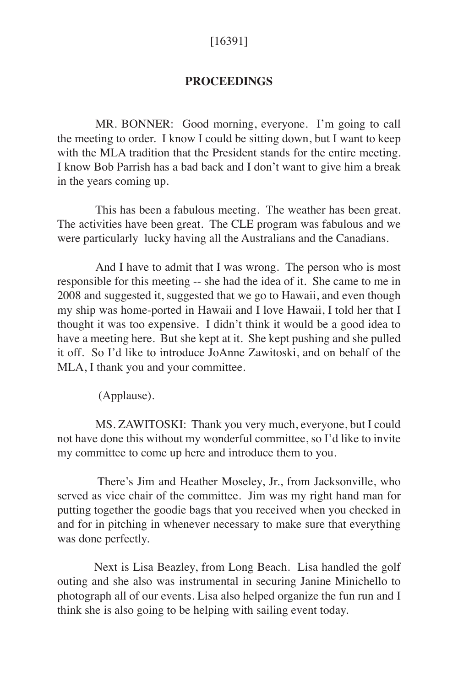## [16391]

#### **PROCEEDINGS**

MR. BONNER: Good morning, everyone. I'm going to call the meeting to order. I know I could be sitting down, but I want to keep with the MLA tradition that the President stands for the entire meeting. I know Bob Parrish has a bad back and I don't want to give him a break in the years coming up.

This has been a fabulous meeting. The weather has been great. The activities have been great. The CLE program was fabulous and we were particularly lucky having all the Australians and the Canadians.

And I have to admit that I was wrong. The person who is most responsible for this meeting -- she had the idea of it. She came to me in 2008 and suggested it, suggested that we go to Hawaii, and even though my ship was home-ported in Hawaii and I love Hawaii, I told her that I thought it was too expensive. I didn't think it would be a good idea to have a meeting here. But she kept at it. She kept pushing and she pulled it off. So I'd like to introduce JoAnne Zawitoski, and on behalf of the MLA, I thank you and your committee.

(Applause).

MS. ZAWITOSKI: Thank you very much, everyone, but I could not have done this without my wonderful committee, so I'd like to invite my committee to come up here and introduce them to you.

 There's Jim and Heather Moseley, Jr., from Jacksonville, who served as vice chair of the committee. Jim was my right hand man for putting together the goodie bags that you received when you checked in and for in pitching in whenever necessary to make sure that everything was done perfectly.

 Next is Lisa Beazley, from Long Beach. Lisa handled the golf outing and she also was instrumental in securing Janine Minichello to photograph all of our events. Lisa also helped organize the fun run and I think she is also going to be helping with sailing event today.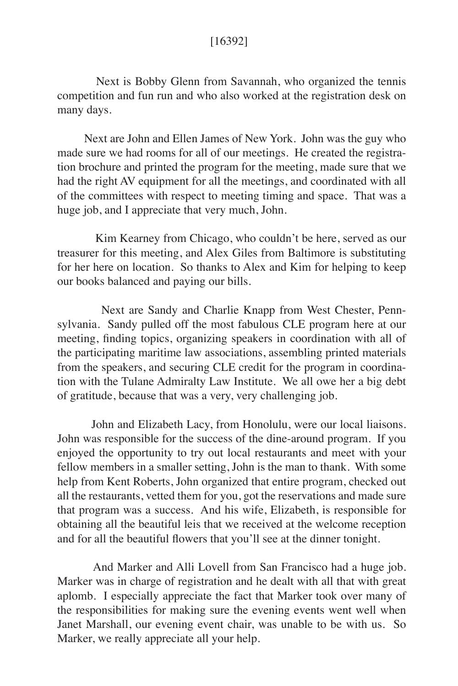## [16392]

 Next is Bobby Glenn from Savannah, who organized the tennis competition and fun run and who also worked at the registration desk on many days.

 Next are John and Ellen James of New York. John was the guy who made sure we had rooms for all of our meetings. He created the registration brochure and printed the program for the meeting, made sure that we had the right AV equipment for all the meetings, and coordinated with all of the committees with respect to meeting timing and space. That was a huge job, and I appreciate that very much, John.

 Kim Kearney from Chicago, who couldn't be here, served as our treasurer for this meeting, and Alex Giles from Baltimore is substituting for her here on location. So thanks to Alex and Kim for helping to keep our books balanced and paying our bills.

 Next are Sandy and Charlie Knapp from West Chester, Pennsylvania. Sandy pulled off the most fabulous CLE program here at our meeting, finding topics, organizing speakers in coordination with all of the participating maritime law associations, assembling printed materials from the speakers, and securing CLE credit for the program in coordination with the Tulane Admiralty Law Institute. We all owe her a big debt of gratitude, because that was a very, very challenging job.

 John and Elizabeth Lacy, from Honolulu, were our local liaisons. John was responsible for the success of the dine-around program. If you enjoyed the opportunity to try out local restaurants and meet with your fellow members in a smaller setting, John is the man to thank. With some help from Kent Roberts, John organized that entire program, checked out all the restaurants, vetted them for you, got the reservations and made sure that program was a success. And his wife, Elizabeth, is responsible for obtaining all the beautiful leis that we received at the welcome reception and for all the beautiful flowers that you'll see at the dinner tonight.

 And Marker and Alli Lovell from San Francisco had a huge job. Marker was in charge of registration and he dealt with all that with great aplomb. I especially appreciate the fact that Marker took over many of the responsibilities for making sure the evening events went well when Janet Marshall, our evening event chair, was unable to be with us. So Marker, we really appreciate all your help.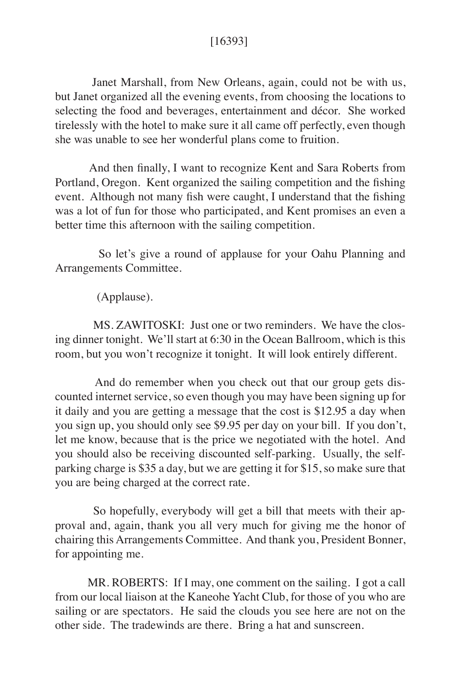# [16393]

 Janet Marshall, from New Orleans, again, could not be with us, but Janet organized all the evening events, from choosing the locations to selecting the food and beverages, entertainment and décor. She worked tirelessly with the hotel to make sure it all came off perfectly, even though she was unable to see her wonderful plans come to fruition.

 And then finally, I want to recognize Kent and Sara Roberts from Portland, Oregon. Kent organized the sailing competition and the fishing event. Although not many fish were caught, I understand that the fishing was a lot of fun for those who participated, and Kent promises an even a better time this afternoon with the sailing competition.

 So let's give a round of applause for your Oahu Planning and Arrangements Committee.

(Applause).

MS. ZAWITOSKI: Just one or two reminders. We have the closing dinner tonight. We'll start at 6:30 in the Ocean Ballroom, which is this room, but you won't recognize it tonight. It will look entirely different.

 And do remember when you check out that our group gets discounted internet service, so even though you may have been signing up for it daily and you are getting a message that the cost is \$12.95 a day when you sign up, you should only see \$9.95 per day on your bill. If you don't, let me know, because that is the price we negotiated with the hotel. And you should also be receiving discounted self-parking. Usually, the selfparking charge is \$35 a day, but we are getting it for \$15, so make sure that you are being charged at the correct rate.

So hopefully, everybody will get a bill that meets with their approval and, again, thank you all very much for giving me the honor of chairing this Arrangements Committee. And thank you, President Bonner, for appointing me.

MR. ROBERTS: If I may, one comment on the sailing. I got a call from our local liaison at the Kaneohe Yacht Club, for those of you who are sailing or are spectators. He said the clouds you see here are not on the other side. The tradewinds are there. Bring a hat and sunscreen.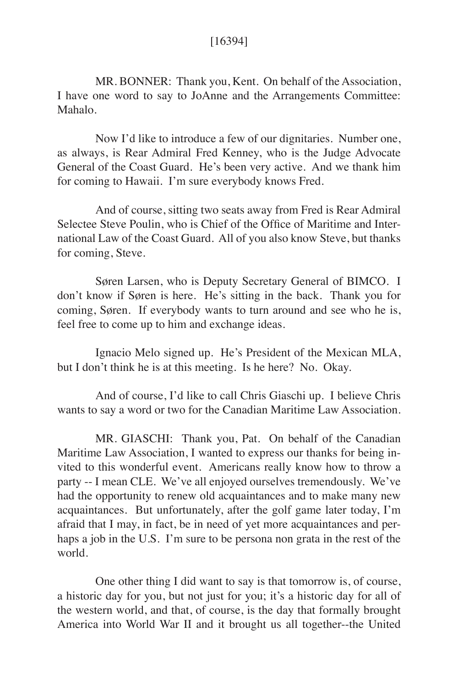## [16394]

MR. BONNER: Thank you, Kent. On behalf of the Association, I have one word to say to JoAnne and the Arrangements Committee: Mahalo.

 Now I'd like to introduce a few of our dignitaries. Number one, as always, is Rear Admiral Fred Kenney, who is the Judge Advocate General of the Coast Guard. He's been very active. And we thank him for coming to Hawaii. I'm sure everybody knows Fred.

And of course, sitting two seats away from Fred is Rear Admiral Selectee Steve Poulin, who is Chief of the Office of Maritime and International Law of the Coast Guard. All of you also know Steve, but thanks for coming, Steve.

Søren Larsen, who is Deputy Secretary General of BIMCO. I don't know if Søren is here. He's sitting in the back. Thank you for coming, Søren. If everybody wants to turn around and see who he is, feel free to come up to him and exchange ideas.

Ignacio Melo signed up. He's President of the Mexican MLA, but I don't think he is at this meeting. Is he here? No. Okay.

And of course, I'd like to call Chris Giaschi up. I believe Chris wants to say a word or two for the Canadian Maritime Law Association.

 MR. GIASCHI: Thank you, Pat. On behalf of the Canadian Maritime Law Association, I wanted to express our thanks for being invited to this wonderful event. Americans really know how to throw a party -- I mean CLE. We've all enjoyed ourselves tremendously. We've had the opportunity to renew old acquaintances and to make many new acquaintances. But unfortunately, after the golf game later today, I'm afraid that I may, in fact, be in need of yet more acquaintances and perhaps a job in the U.S. I'm sure to be persona non grata in the rest of the world.

One other thing I did want to say is that tomorrow is, of course, a historic day for you, but not just for you; it's a historic day for all of the western world, and that, of course, is the day that formally brought America into World War II and it brought us all together--the United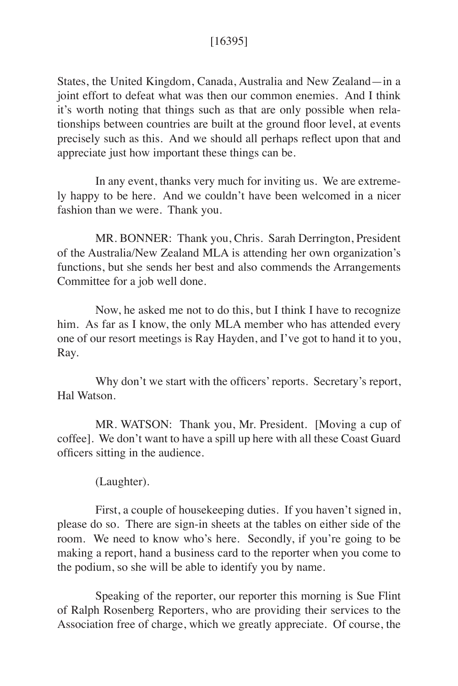# [16395]

States, the United Kingdom, Canada, Australia and New Zealand—in a joint effort to defeat what was then our common enemies. And I think it's worth noting that things such as that are only possible when relationships between countries are built at the ground floor level, at events precisely such as this. And we should all perhaps reflect upon that and appreciate just how important these things can be.

In any event, thanks very much for inviting us. We are extremely happy to be here. And we couldn't have been welcomed in a nicer fashion than we were. Thank you.

MR. BONNER: Thank you, Chris. Sarah Derrington, President of the Australia/New Zealand MLA is attending her own organization's functions, but she sends her best and also commends the Arrangements Committee for a job well done.

 Now, he asked me not to do this, but I think I have to recognize him. As far as I know, the only MLA member who has attended every one of our resort meetings is Ray Hayden, and I've got to hand it to you, Ray.

 Why don't we start with the officers' reports. Secretary's report, Hal Watson.

 MR. WATSON: Thank you, Mr. President. [Moving a cup of coffee]. We don't want to have a spill up here with all these Coast Guard officers sitting in the audience.

(Laughter).

 First, a couple of housekeeping duties. If you haven't signed in, please do so. There are sign-in sheets at the tables on either side of the room. We need to know who's here. Secondly, if you're going to be making a report, hand a business card to the reporter when you come to the podium, so she will be able to identify you by name.

 Speaking of the reporter, our reporter this morning is Sue Flint of Ralph Rosenberg Reporters, who are providing their services to the Association free of charge, which we greatly appreciate. Of course, the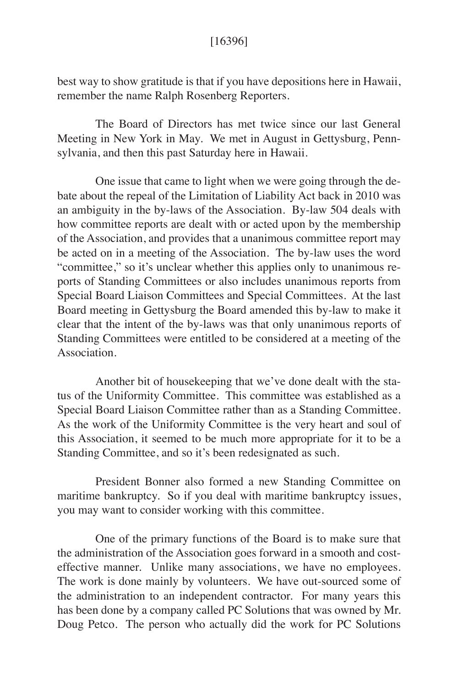## [16396]

best way to show gratitude is that if you have depositions here in Hawaii, remember the name Ralph Rosenberg Reporters.

 The Board of Directors has met twice since our last General Meeting in New York in May. We met in August in Gettysburg, Pennsylvania, and then this past Saturday here in Hawaii.

One issue that came to light when we were going through the debate about the repeal of the Limitation of Liability Act back in 2010 was an ambiguity in the by-laws of the Association. By-law 504 deals with how committee reports are dealt with or acted upon by the membership of the Association, and provides that a unanimous committee report may be acted on in a meeting of the Association. The by-law uses the word "committee," so it's unclear whether this applies only to unanimous reports of Standing Committees or also includes unanimous reports from Special Board Liaison Committees and Special Committees. At the last Board meeting in Gettysburg the Board amended this by-law to make it clear that the intent of the by-laws was that only unanimous reports of Standing Committees were entitled to be considered at a meeting of the Association.

 Another bit of housekeeping that we've done dealt with the status of the Uniformity Committee. This committee was established as a Special Board Liaison Committee rather than as a Standing Committee. As the work of the Uniformity Committee is the very heart and soul of this Association, it seemed to be much more appropriate for it to be a Standing Committee, and so it's been redesignated as such.

 President Bonner also formed a new Standing Committee on maritime bankruptcy. So if you deal with maritime bankruptcy issues, you may want to consider working with this committee.

 One of the primary functions of the Board is to make sure that the administration of the Association goes forward in a smooth and costeffective manner. Unlike many associations, we have no employees. The work is done mainly by volunteers. We have out-sourced some of the administration to an independent contractor. For many years this has been done by a company called PC Solutions that was owned by Mr. Doug Petco. The person who actually did the work for PC Solutions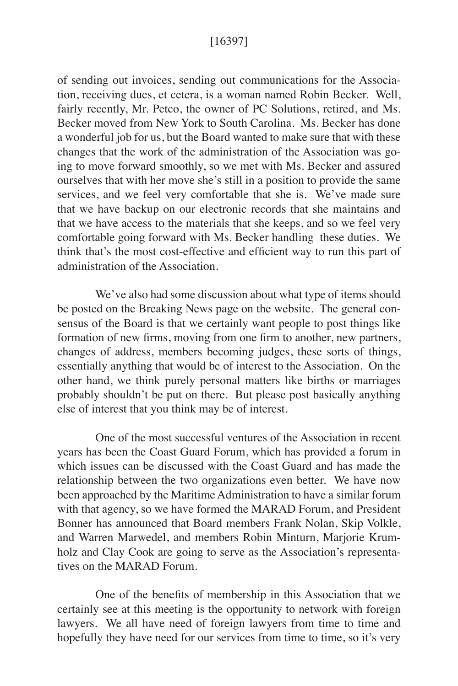## [16397]

of sending out invoices, sending out communications for the Association, receiving dues, et cetera, is a woman named Robin Becker. Well, fairly recently, Mr. Petco, the owner of PC Solutions, retired, and Ms. Becker moved from New York to South Carolina. Ms. Becker has done a wonderful job for us, but the Board wanted to make sure that with these changes that the work of the administration of the Association was going to move forward smoothly, so we met with Ms. Becker and assured ourselves that with her move she's still in a position to provide the same services, and we feel very comfortable that she is. We've made sure that we have backup on our electronic records that she maintains and that we have access to the materials that she keeps, and so we feel very comfortable going forward with Ms. Becker handling these duties. We think that's the most cost-effective and efficient way to run this part of administration of the Association.

 We've also had some discussion about what type of items should be posted on the Breaking News page on the website. The general consensus of the Board is that we certainly want people to post things like formation of new firms, moving from one firm to another, new partners, changes of address, members becoming judges, these sorts of things, essentially anything that would be of interest to the Association. On the other hand, we think purely personal matters like births or marriages probably shouldn't be put on there. But please post basically anything else of interest that you think may be of interest.

 One of the most successful ventures of the Association in recent years has been the Coast Guard Forum, which has provided a forum in which issues can be discussed with the Coast Guard and has made the relationship between the two organizations even better. We have now been approached by the Maritime Administration to have a similar forum with that agency, so we have formed the MARAD Forum, and President Bonner has announced that Board members Frank Nolan, Skip Volkle, and Warren Marwedel, and members Robin Minturn, Marjorie Krumholz and Clay Cook are going to serve as the Association's representatives on the MARAD Forum.

 One of the benefits of membership in this Association that we certainly see at this meeting is the opportunity to network with foreign lawyers. We all have need of foreign lawyers from time to time and hopefully they have need for our services from time to time, so it's very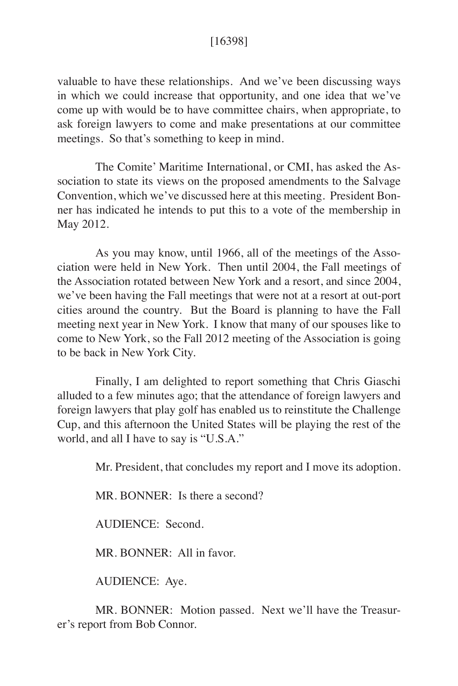## [16398]

valuable to have these relationships. And we've been discussing ways in which we could increase that opportunity, and one idea that we've come up with would be to have committee chairs, when appropriate, to ask foreign lawyers to come and make presentations at our committee meetings. So that's something to keep in mind.

The Comite' Maritime International, or CMI, has asked the Association to state its views on the proposed amendments to the Salvage Convention, which we've discussed here at this meeting. President Bonner has indicated he intends to put this to a vote of the membership in May 2012.

 As you may know, until 1966, all of the meetings of the Association were held in New York. Then until 2004, the Fall meetings of the Association rotated between New York and a resort, and since 2004, we've been having the Fall meetings that were not at a resort at out-port cities around the country. But the Board is planning to have the Fall meeting next year in New York. I know that many of our spouses like to come to New York, so the Fall 2012 meeting of the Association is going to be back in New York City.

 Finally, I am delighted to report something that Chris Giaschi alluded to a few minutes ago; that the attendance of foreign lawyers and foreign lawyers that play golf has enabled us to reinstitute the Challenge Cup, and this afternoon the United States will be playing the rest of the world, and all I have to say is "U.S.A."

Mr. President, that concludes my report and I move its adoption.

MR. BONNER: Is there a second?

AUDIENCE: Second.

MR. BONNER: All in favor.

AUDIENCE: Aye.

 MR. BONNER: Motion passed. Next we'll have the Treasurer's report from Bob Connor.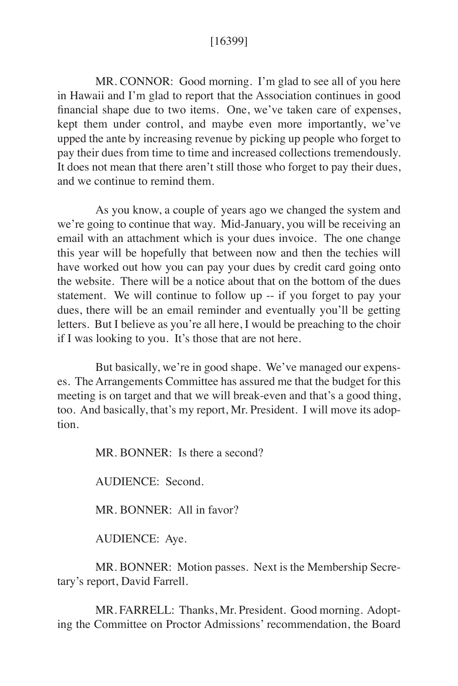## [16399]

MR. CONNOR: Good morning. I'm glad to see all of you here in Hawaii and I'm glad to report that the Association continues in good financial shape due to two items. One, we've taken care of expenses, kept them under control, and maybe even more importantly, we've upped the ante by increasing revenue by picking up people who forget to pay their dues from time to time and increased collections tremendously. It does not mean that there aren't still those who forget to pay their dues, and we continue to remind them.

 As you know, a couple of years ago we changed the system and we're going to continue that way. Mid-January, you will be receiving an email with an attachment which is your dues invoice. The one change this year will be hopefully that between now and then the techies will have worked out how you can pay your dues by credit card going onto the website. There will be a notice about that on the bottom of the dues statement. We will continue to follow up -- if you forget to pay your dues, there will be an email reminder and eventually you'll be getting letters. But I believe as you're all here, I would be preaching to the choir if I was looking to you. It's those that are not here.

 But basically, we're in good shape. We've managed our expenses. The Arrangements Committee has assured me that the budget for this meeting is on target and that we will break-even and that's a good thing, too. And basically, that's my report, Mr. President. I will move its adoption.

MR. BONNER: Is there a second?

AUDIENCE: Second.

MR. BONNER: All in favor?

AUDIENCE: Aye.

 MR. BONNER: Motion passes. Next is the Membership Secretary's report, David Farrell.

 MR. FARRELL: Thanks, Mr. President. Good morning. Adopting the Committee on Proctor Admissions' recommendation, the Board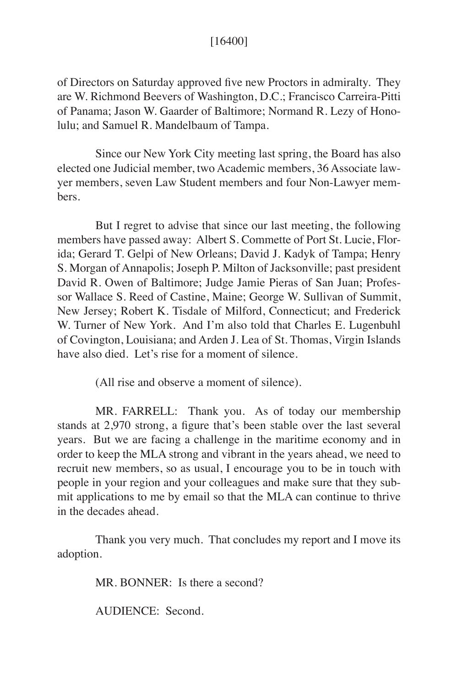## [16400]

of Directors on Saturday approved five new Proctors in admiralty. They are W. Richmond Beevers of Washington, D.C.; Francisco Carreira-Pitti of Panama; Jason W. Gaarder of Baltimore; Normand R. Lezy of Honolulu; and Samuel R. Mandelbaum of Tampa.

Since our New York City meeting last spring, the Board has also elected one Judicial member, two Academic members, 36 Associate lawyer members, seven Law Student members and four Non-Lawyer members.

But I regret to advise that since our last meeting, the following members have passed away: Albert S. Commette of Port St. Lucie, Florida; Gerard T. Gelpi of New Orleans; David J. Kadyk of Tampa; Henry S. Morgan of Annapolis; Joseph P. Milton of Jacksonville; past president David R. Owen of Baltimore; Judge Jamie Pieras of San Juan; Professor Wallace S. Reed of Castine, Maine; George W. Sullivan of Summit, New Jersey; Robert K. Tisdale of Milford, Connecticut; and Frederick W. Turner of New York. And I'm also told that Charles E. Lugenbuhl of Covington, Louisiana; and Arden J. Lea of St. Thomas, Virgin Islands have also died. Let's rise for a moment of silence.

(All rise and observe a moment of silence).

MR. FARRELL: Thank you. As of today our membership stands at 2,970 strong, a figure that's been stable over the last several years. But we are facing a challenge in the maritime economy and in order to keep the MLA strong and vibrant in the years ahead, we need to recruit new members, so as usual, I encourage you to be in touch with people in your region and your colleagues and make sure that they submit applications to me by email so that the MLA can continue to thrive in the decades ahead.

 Thank you very much. That concludes my report and I move its adoption.

MR. BONNER: Is there a second?

AUDIENCE: Second.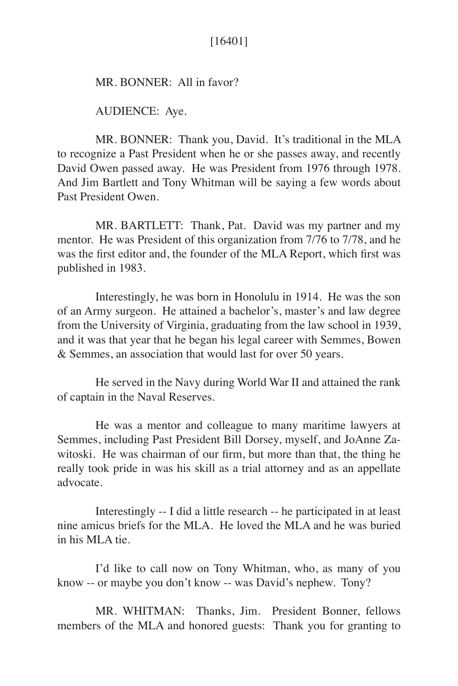# [16401]

MR. BONNER: All in favor?

AUDIENCE: Aye.

 MR. BONNER: Thank you, David. It's traditional in the MLA to recognize a Past President when he or she passes away, and recently David Owen passed away. He was President from 1976 through 1978. And Jim Bartlett and Tony Whitman will be saying a few words about Past President Owen.

 MR. BARTLETT: Thank, Pat. David was my partner and my mentor. He was President of this organization from 7/76 to 7/78, and he was the first editor and, the founder of the MLA Report, which first was published in 1983.

 Interestingly, he was born in Honolulu in 1914. He was the son of an Army surgeon. He attained a bachelor's, master's and law degree from the University of Virginia, graduating from the law school in 1939, and it was that year that he began his legal career with Semmes, Bowen & Semmes, an association that would last for over 50 years.

He served in the Navy during World War II and attained the rank of captain in the Naval Reserves.

 He was a mentor and colleague to many maritime lawyers at Semmes, including Past President Bill Dorsey, myself, and JoAnne Zawitoski. He was chairman of our firm, but more than that, the thing he really took pride in was his skill as a trial attorney and as an appellate advocate.

Interestingly -- I did a little research -- he participated in at least nine amicus briefs for the MLA. He loved the MLA and he was buried in his MLA tie.

I'd like to call now on Tony Whitman, who, as many of you know -- or maybe you don't know -- was David's nephew. Tony?

 MR. WHITMAN: Thanks, Jim. President Bonner, fellows members of the MLA and honored guests: Thank you for granting to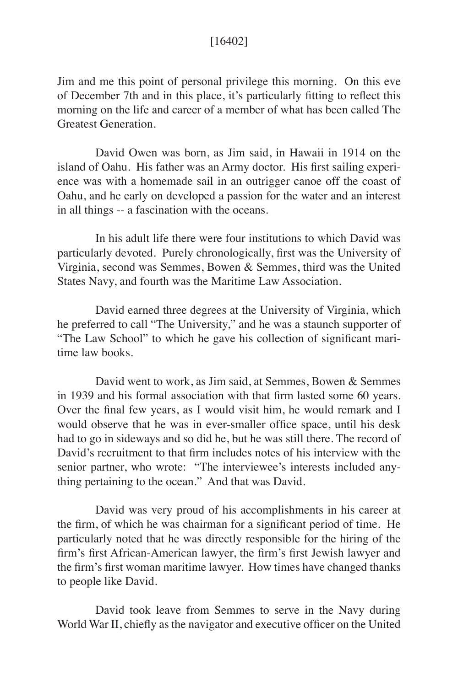## [16402]

Jim and me this point of personal privilege this morning. On this eve of December 7th and in this place, it's particularly fitting to reflect this morning on the life and career of a member of what has been called The Greatest Generation.

 David Owen was born, as Jim said, in Hawaii in 1914 on the island of Oahu. His father was an Army doctor. His first sailing experience was with a homemade sail in an outrigger canoe off the coast of Oahu, and he early on developed a passion for the water and an interest in all things -- a fascination with the oceans.

 In his adult life there were four institutions to which David was particularly devoted. Purely chronologically, first was the University of Virginia, second was Semmes, Bowen & Semmes, third was the United States Navy, and fourth was the Maritime Law Association.

 David earned three degrees at the University of Virginia, which he preferred to call "The University," and he was a staunch supporter of "The Law School" to which he gave his collection of significant maritime law books.

 David went to work, as Jim said, at Semmes, Bowen & Semmes in 1939 and his formal association with that firm lasted some 60 years. Over the final few years, as I would visit him, he would remark and I would observe that he was in ever-smaller office space, until his desk had to go in sideways and so did he, but he was still there. The record of David's recruitment to that firm includes notes of his interview with the senior partner, who wrote: "The interviewee's interests included anything pertaining to the ocean." And that was David.

David was very proud of his accomplishments in his career at the firm, of which he was chairman for a significant period of time. He particularly noted that he was directly responsible for the hiring of the firm's first African-American lawyer, the firm's first Jewish lawyer and the firm's first woman maritime lawyer. How times have changed thanks to people like David.

David took leave from Semmes to serve in the Navy during World War II, chiefly as the navigator and executive officer on the United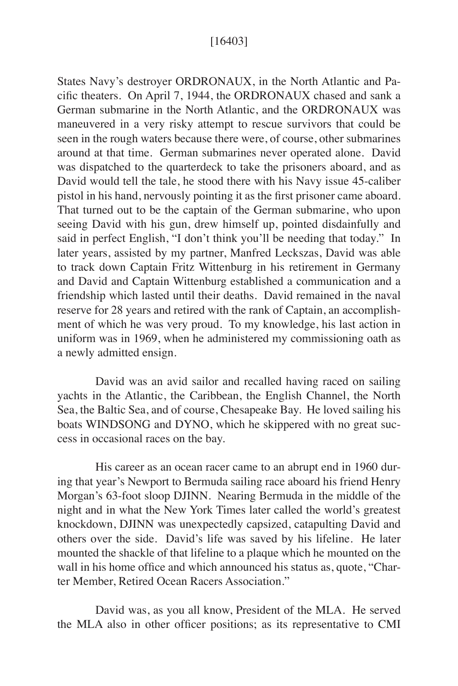## [16403]

States Navy's destroyer ORDRONAUX, in the North Atlantic and Pacific theaters. On April 7, 1944, the ORDRONAUX chased and sank a German submarine in the North Atlantic, and the ORDRONAUX was maneuvered in a very risky attempt to rescue survivors that could be seen in the rough waters because there were, of course, other submarines around at that time. German submarines never operated alone. David was dispatched to the quarterdeck to take the prisoners aboard, and as David would tell the tale, he stood there with his Navy issue 45-caliber pistol in his hand, nervously pointing it as the first prisoner came aboard. That turned out to be the captain of the German submarine, who upon seeing David with his gun, drew himself up, pointed disdainfully and said in perfect English, "I don't think you'll be needing that today." In later years, assisted by my partner, Manfred Leckszas, David was able to track down Captain Fritz Wittenburg in his retirement in Germany and David and Captain Wittenburg established a communication and a friendship which lasted until their deaths. David remained in the naval reserve for 28 years and retired with the rank of Captain, an accomplishment of which he was very proud. To my knowledge, his last action in uniform was in 1969, when he administered my commissioning oath as a newly admitted ensign.

David was an avid sailor and recalled having raced on sailing yachts in the Atlantic, the Caribbean, the English Channel, the North Sea, the Baltic Sea, and of course, Chesapeake Bay. He loved sailing his boats WINDSONG and DYNO, which he skippered with no great success in occasional races on the bay.

 His career as an ocean racer came to an abrupt end in 1960 during that year's Newport to Bermuda sailing race aboard his friend Henry Morgan's 63-foot sloop DJINN. Nearing Bermuda in the middle of the night and in what the New York Times later called the world's greatest knockdown, DJINN was unexpectedly capsized, catapulting David and others over the side. David's life was saved by his lifeline. He later mounted the shackle of that lifeline to a plaque which he mounted on the wall in his home office and which announced his status as, quote, "Charter Member, Retired Ocean Racers Association."

David was, as you all know, President of the MLA. He served the MLA also in other officer positions; as its representative to CMI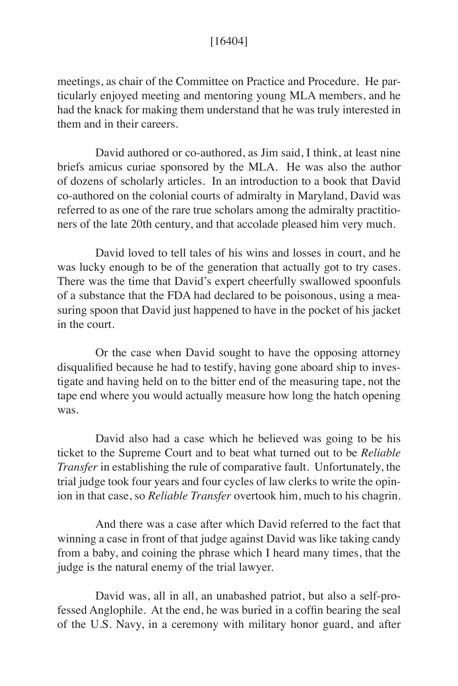## [16404]

meetings, as chair of the Committee on Practice and Procedure. He particularly enjoyed meeting and mentoring young MLA members, and he had the knack for making them understand that he was truly interested in them and in their careers.

 David authored or co-authored, as Jim said, I think, at least nine briefs amicus curiae sponsored by the MLA. He was also the author of dozens of scholarly articles. In an introduction to a book that David co-authored on the colonial courts of admiralty in Maryland, David was referred to as one of the rare true scholars among the admiralty practitioners of the late 20th century, and that accolade pleased him very much.

 David loved to tell tales of his wins and losses in court, and he was lucky enough to be of the generation that actually got to try cases. There was the time that David's expert cheerfully swallowed spoonfuls of a substance that the FDA had declared to be poisonous, using a measuring spoon that David just happened to have in the pocket of his jacket in the court.

 Or the case when David sought to have the opposing attorney disqualified because he had to testify, having gone aboard ship to investigate and having held on to the bitter end of the measuring tape, not the tape end where you would actually measure how long the hatch opening was.

 David also had a case which he believed was going to be his ticket to the Supreme Court and to beat what turned out to be *Reliable Transfer* in establishing the rule of comparative fault. Unfortunately, the trial judge took four years and four cycles of law clerks to write the opinion in that case, so *Reliable Transfer* overtook him, much to his chagrin.

 And there was a case after which David referred to the fact that winning a case in front of that judge against David was like taking candy from a baby, and coining the phrase which I heard many times, that the judge is the natural enemy of the trial lawyer.

 David was, all in all, an unabashed patriot, but also a self-professed Anglophile. At the end, he was buried in a coffin bearing the seal of the U.S. Navy, in a ceremony with military honor guard, and after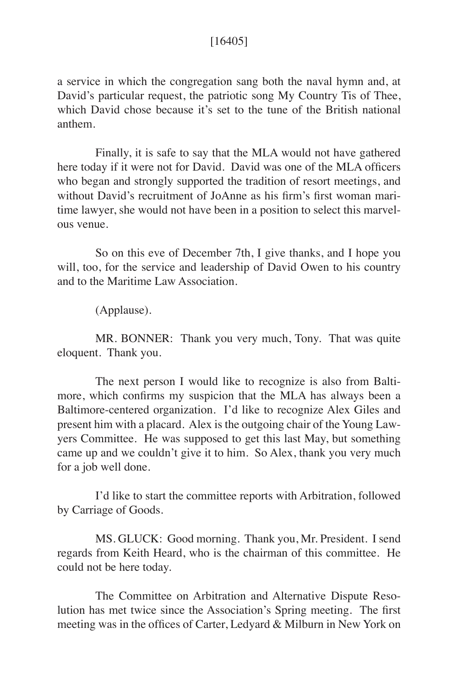## [16405]

a service in which the congregation sang both the naval hymn and, at David's particular request, the patriotic song My Country Tis of Thee, which David chose because it's set to the tune of the British national anthem.

 Finally, it is safe to say that the MLA would not have gathered here today if it were not for David. David was one of the MLA officers who began and strongly supported the tradition of resort meetings, and without David's recruitment of JoAnne as his firm's first woman maritime lawyer, she would not have been in a position to select this marvelous venue.

 So on this eve of December 7th, I give thanks, and I hope you will, too, for the service and leadership of David Owen to his country and to the Maritime Law Association.

(Applause).

 MR. BONNER: Thank you very much, Tony. That was quite eloquent. Thank you.

The next person I would like to recognize is also from Baltimore, which confirms my suspicion that the MLA has always been a Baltimore-centered organization. I'd like to recognize Alex Giles and present him with a placard. Alex is the outgoing chair of the Young Lawyers Committee. He was supposed to get this last May, but something came up and we couldn't give it to him. So Alex, thank you very much for a job well done.

 I'd like to start the committee reports with Arbitration, followed by Carriage of Goods.

 MS. GLUCK: Good morning. Thank you, Mr. President. I send regards from Keith Heard, who is the chairman of this committee. He could not be here today.

 The Committee on Arbitration and Alternative Dispute Resolution has met twice since the Association's Spring meeting. The first meeting was in the offices of Carter, Ledyard & Milburn in New York on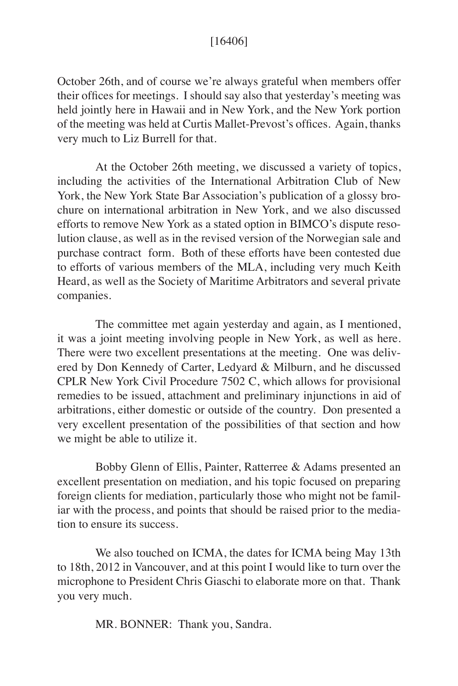## [16406]

October 26th, and of course we're always grateful when members offer their offices for meetings. I should say also that yesterday's meeting was held jointly here in Hawaii and in New York, and the New York portion of the meeting was held at Curtis Mallet-Prevost's offices. Again, thanks very much to Liz Burrell for that.

At the October 26th meeting, we discussed a variety of topics, including the activities of the International Arbitration Club of New York, the New York State Bar Association's publication of a glossy brochure on international arbitration in New York, and we also discussed efforts to remove New York as a stated option in BIMCO's dispute resolution clause, as well as in the revised version of the Norwegian sale and purchase contract form. Both of these efforts have been contested due to efforts of various members of the MLA, including very much Keith Heard, as well as the Society of Maritime Arbitrators and several private companies.

The committee met again yesterday and again, as I mentioned, it was a joint meeting involving people in New York, as well as here. There were two excellent presentations at the meeting. One was delivered by Don Kennedy of Carter, Ledyard & Milburn, and he discussed CPLR New York Civil Procedure 7502 C, which allows for provisional remedies to be issued, attachment and preliminary injunctions in aid of arbitrations, either domestic or outside of the country. Don presented a very excellent presentation of the possibilities of that section and how we might be able to utilize it.

Bobby Glenn of Ellis, Painter, Ratterree & Adams presented an excellent presentation on mediation, and his topic focused on preparing foreign clients for mediation, particularly those who might not be familiar with the process, and points that should be raised prior to the mediation to ensure its success.

We also touched on ICMA, the dates for ICMA being May 13th to 18th, 2012 in Vancouver, and at this point I would like to turn over the microphone to President Chris Giaschi to elaborate more on that. Thank you very much.

MR. BONNER: Thank you, Sandra.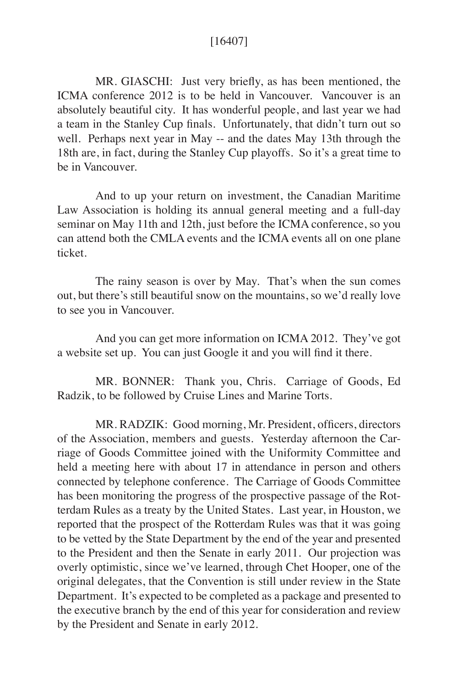## [16407]

 MR. GIASCHI: Just very briefly, as has been mentioned, the ICMA conference 2012 is to be held in Vancouver. Vancouver is an absolutely beautiful city. It has wonderful people, and last year we had a team in the Stanley Cup finals. Unfortunately, that didn't turn out so well. Perhaps next year in May -- and the dates May 13th through the 18th are, in fact, during the Stanley Cup playoffs. So it's a great time to be in Vancouver.

And to up your return on investment, the Canadian Maritime Law Association is holding its annual general meeting and a full-day seminar on May 11th and 12th, just before the ICMA conference, so you can attend both the CMLA events and the ICMA events all on one plane ticket.

The rainy season is over by May. That's when the sun comes out, but there's still beautiful snow on the mountains, so we'd really love to see you in Vancouver.

And you can get more information on ICMA 2012. They've got a website set up. You can just Google it and you will find it there.

MR. BONNER: Thank you, Chris. Carriage of Goods, Ed Radzik, to be followed by Cruise Lines and Marine Torts.

 MR. RADZIK: Good morning, Mr. President, officers, directors of the Association, members and guests. Yesterday afternoon the Carriage of Goods Committee joined with the Uniformity Committee and held a meeting here with about 17 in attendance in person and others connected by telephone conference. The Carriage of Goods Committee has been monitoring the progress of the prospective passage of the Rotterdam Rules as a treaty by the United States. Last year, in Houston, we reported that the prospect of the Rotterdam Rules was that it was going to be vetted by the State Department by the end of the year and presented to the President and then the Senate in early 2011. Our projection was overly optimistic, since we've learned, through Chet Hooper, one of the original delegates, that the Convention is still under review in the State Department. It's expected to be completed as a package and presented to the executive branch by the end of this year for consideration and review by the President and Senate in early 2012.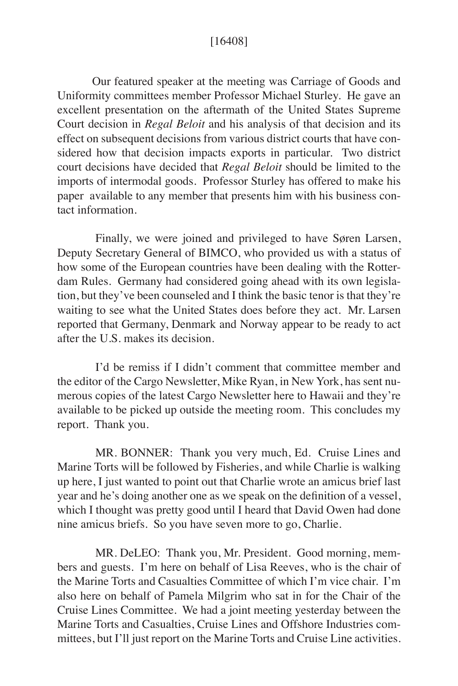## [16408]

 Our featured speaker at the meeting was Carriage of Goods and Uniformity committees member Professor Michael Sturley. He gave an excellent presentation on the aftermath of the United States Supreme Court decision in *Regal Beloit* and his analysis of that decision and its effect on subsequent decisions from various district courts that have considered how that decision impacts exports in particular. Two district court decisions have decided that *Regal Beloit* should be limited to the imports of intermodal goods. Professor Sturley has offered to make his paper available to any member that presents him with his business contact information.

Finally, we were joined and privileged to have Søren Larsen, Deputy Secretary General of BIMCO, who provided us with a status of how some of the European countries have been dealing with the Rotterdam Rules. Germany had considered going ahead with its own legislation, but they've been counseled and I think the basic tenor is that they're waiting to see what the United States does before they act. Mr. Larsen reported that Germany, Denmark and Norway appear to be ready to act after the U.S. makes its decision.

I'd be remiss if I didn't comment that committee member and the editor of the Cargo Newsletter, Mike Ryan, in New York, has sent numerous copies of the latest Cargo Newsletter here to Hawaii and they're available to be picked up outside the meeting room. This concludes my report. Thank you.

MR. BONNER: Thank you very much, Ed. Cruise Lines and Marine Torts will be followed by Fisheries, and while Charlie is walking up here, I just wanted to point out that Charlie wrote an amicus brief last year and he's doing another one as we speak on the definition of a vessel, which I thought was pretty good until I heard that David Owen had done nine amicus briefs. So you have seven more to go, Charlie.

MR. DeLEO: Thank you, Mr. President. Good morning, members and guests. I'm here on behalf of Lisa Reeves, who is the chair of the Marine Torts and Casualties Committee of which I'm vice chair. I'm also here on behalf of Pamela Milgrim who sat in for the Chair of the Cruise Lines Committee. We had a joint meeting yesterday between the Marine Torts and Casualties, Cruise Lines and Offshore Industries committees, but I'll just report on the Marine Torts and Cruise Line activities.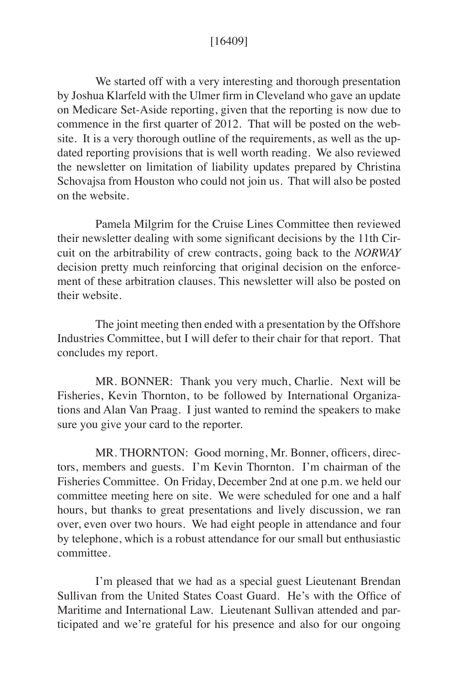## [16409]

We started off with a very interesting and thorough presentation by Joshua Klarfeld with the Ulmer firm in Cleveland who gave an update on Medicare Set-Aside reporting, given that the reporting is now due to commence in the first quarter of 2012. That will be posted on the website. It is a very thorough outline of the requirements, as well as the updated reporting provisions that is well worth reading. We also reviewed the newsletter on limitation of liability updates prepared by Christina Schovajsa from Houston who could not join us. That will also be posted on the website.

Pamela Milgrim for the Cruise Lines Committee then reviewed their newsletter dealing with some significant decisions by the 11th Circuit on the arbitrability of crew contracts, going back to the *NORWAY* decision pretty much reinforcing that original decision on the enforcement of these arbitration clauses. This newsletter will also be posted on their website.

The joint meeting then ended with a presentation by the Offshore Industries Committee, but I will defer to their chair for that report. That concludes my report.

 MR. BONNER: Thank you very much, Charlie. Next will be Fisheries, Kevin Thornton, to be followed by International Organizations and Alan Van Praag. I just wanted to remind the speakers to make sure you give your card to the reporter.

 MR. THORNTON: Good morning, Mr. Bonner, officers, directors, members and guests. I'm Kevin Thornton. I'm chairman of the Fisheries Committee. On Friday, December 2nd at one p.m. we held our committee meeting here on site. We were scheduled for one and a half hours, but thanks to great presentations and lively discussion, we ran over, even over two hours. We had eight people in attendance and four by telephone, which is a robust attendance for our small but enthusiastic committee.

 I'm pleased that we had as a special guest Lieutenant Brendan Sullivan from the United States Coast Guard. He's with the Office of Maritime and International Law. Lieutenant Sullivan attended and participated and we're grateful for his presence and also for our ongoing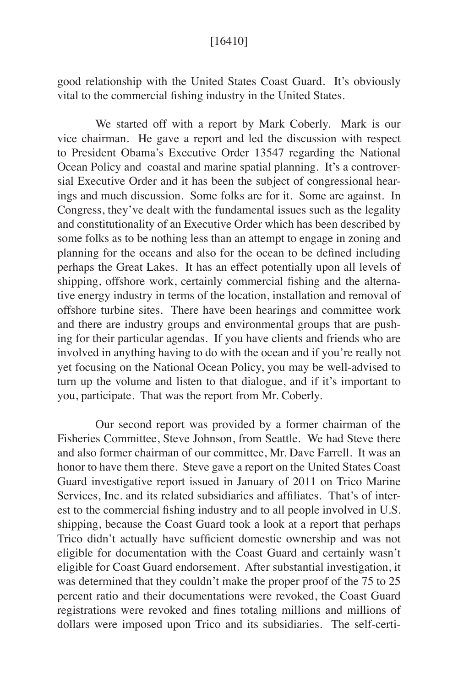## [16410]

good relationship with the United States Coast Guard. It's obviously vital to the commercial fishing industry in the United States.

 We started off with a report by Mark Coberly. Mark is our vice chairman. He gave a report and led the discussion with respect to President Obama's Executive Order 13547 regarding the National Ocean Policy and coastal and marine spatial planning. It's a controversial Executive Order and it has been the subject of congressional hearings and much discussion. Some folks are for it. Some are against. In Congress, they've dealt with the fundamental issues such as the legality and constitutionality of an Executive Order which has been described by some folks as to be nothing less than an attempt to engage in zoning and planning for the oceans and also for the ocean to be defined including perhaps the Great Lakes. It has an effect potentially upon all levels of shipping, offshore work, certainly commercial fishing and the alternative energy industry in terms of the location, installation and removal of offshore turbine sites. There have been hearings and committee work and there are industry groups and environmental groups that are pushing for their particular agendas. If you have clients and friends who are involved in anything having to do with the ocean and if you're really not yet focusing on the National Ocean Policy, you may be well-advised to turn up the volume and listen to that dialogue, and if it's important to you, participate. That was the report from Mr. Coberly.

 Our second report was provided by a former chairman of the Fisheries Committee, Steve Johnson, from Seattle. We had Steve there and also former chairman of our committee, Mr. Dave Farrell. It was an honor to have them there. Steve gave a report on the United States Coast Guard investigative report issued in January of 2011 on Trico Marine Services, Inc. and its related subsidiaries and affiliates. That's of interest to the commercial fishing industry and to all people involved in U.S. shipping, because the Coast Guard took a look at a report that perhaps Trico didn't actually have sufficient domestic ownership and was not eligible for documentation with the Coast Guard and certainly wasn't eligible for Coast Guard endorsement. After substantial investigation, it was determined that they couldn't make the proper proof of the 75 to 25 percent ratio and their documentations were revoked, the Coast Guard registrations were revoked and fines totaling millions and millions of dollars were imposed upon Trico and its subsidiaries. The self-certi-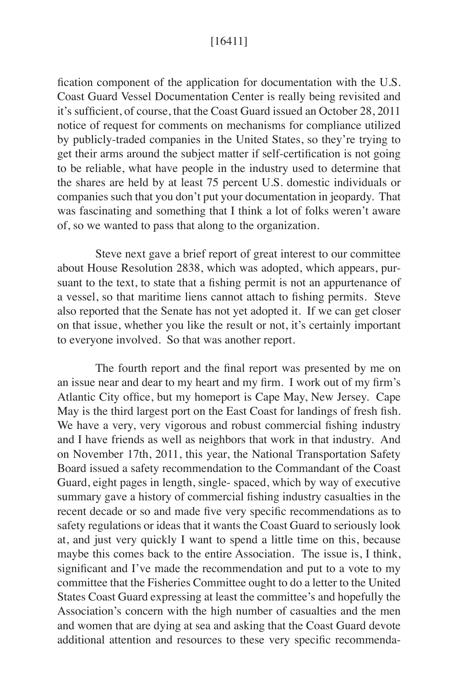## [16411]

fication component of the application for documentation with the U.S. Coast Guard Vessel Documentation Center is really being revisited and it's sufficient, of course, that the Coast Guard issued an October 28, 2011 notice of request for comments on mechanisms for compliance utilized by publicly-traded companies in the United States, so they're trying to get their arms around the subject matter if self-certification is not going to be reliable, what have people in the industry used to determine that the shares are held by at least 75 percent U.S. domestic individuals or companies such that you don't put your documentation in jeopardy. That was fascinating and something that I think a lot of folks weren't aware of, so we wanted to pass that along to the organization.

 Steve next gave a brief report of great interest to our committee about House Resolution 2838, which was adopted, which appears, pursuant to the text, to state that a fishing permit is not an appurtenance of a vessel, so that maritime liens cannot attach to fishing permits. Steve also reported that the Senate has not yet adopted it. If we can get closer on that issue, whether you like the result or not, it's certainly important to everyone involved. So that was another report.

The fourth report and the final report was presented by me on an issue near and dear to my heart and my firm. I work out of my firm's Atlantic City office, but my homeport is Cape May, New Jersey. Cape May is the third largest port on the East Coast for landings of fresh fish. We have a very, very vigorous and robust commercial fishing industry and I have friends as well as neighbors that work in that industry. And on November 17th, 2011, this year, the National Transportation Safety Board issued a safety recommendation to the Commandant of the Coast Guard, eight pages in length, single- spaced, which by way of executive summary gave a history of commercial fishing industry casualties in the recent decade or so and made five very specific recommendations as to safety regulations or ideas that it wants the Coast Guard to seriously look at, and just very quickly I want to spend a little time on this, because maybe this comes back to the entire Association. The issue is, I think, significant and I've made the recommendation and put to a vote to my committee that the Fisheries Committee ought to do a letter to the United States Coast Guard expressing at least the committee's and hopefully the Association's concern with the high number of casualties and the men and women that are dying at sea and asking that the Coast Guard devote additional attention and resources to these very specific recommenda-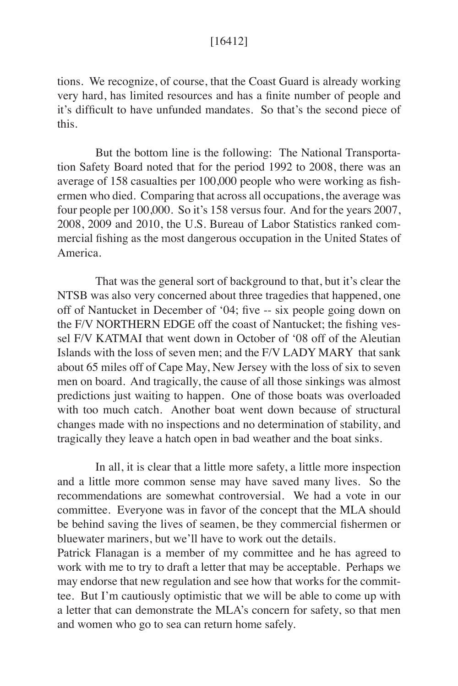## [16412]

tions. We recognize, of course, that the Coast Guard is already working very hard, has limited resources and has a finite number of people and it's difficult to have unfunded mandates. So that's the second piece of this.

 But the bottom line is the following: The National Transportation Safety Board noted that for the period 1992 to 2008, there was an average of 158 casualties per 100,000 people who were working as fishermen who died. Comparing that across all occupations, the average was four people per 100,000. So it's 158 versus four. And for the years 2007, 2008, 2009 and 2010, the U.S. Bureau of Labor Statistics ranked commercial fishing as the most dangerous occupation in the United States of America.

 That was the general sort of background to that, but it's clear the NTSB was also very concerned about three tragedies that happened, one off of Nantucket in December of '04; five -- six people going down on the F/V NORTHERN EDGE off the coast of Nantucket; the fishing vessel F/V KATMAI that went down in October of '08 off of the Aleutian Islands with the loss of seven men; and the F/V LADY MARY that sank about 65 miles off of Cape May, New Jersey with the loss of six to seven men on board. And tragically, the cause of all those sinkings was almost predictions just waiting to happen. One of those boats was overloaded with too much catch. Another boat went down because of structural changes made with no inspections and no determination of stability, and tragically they leave a hatch open in bad weather and the boat sinks.

 In all, it is clear that a little more safety, a little more inspection and a little more common sense may have saved many lives. So the recommendations are somewhat controversial. We had a vote in our committee. Everyone was in favor of the concept that the MLA should be behind saving the lives of seamen, be they commercial fishermen or bluewater mariners, but we'll have to work out the details.

Patrick Flanagan is a member of my committee and he has agreed to work with me to try to draft a letter that may be acceptable. Perhaps we may endorse that new regulation and see how that works for the committee. But I'm cautiously optimistic that we will be able to come up with a letter that can demonstrate the MLA's concern for safety, so that men and women who go to sea can return home safely.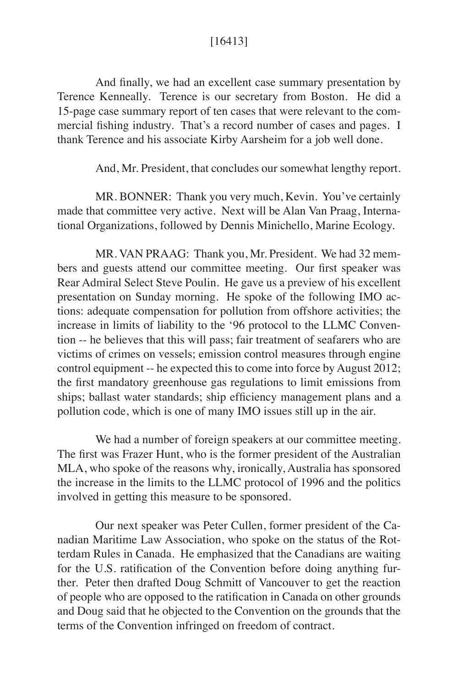## [16413]

 And finally, we had an excellent case summary presentation by Terence Kenneally. Terence is our secretary from Boston. He did a 15-page case summary report of ten cases that were relevant to the commercial fishing industry. That's a record number of cases and pages. I thank Terence and his associate Kirby Aarsheim for a job well done.

And, Mr. President, that concludes our somewhat lengthy report.

MR. BONNER: Thank you very much, Kevin. You've certainly made that committee very active. Next will be Alan Van Praag, International Organizations, followed by Dennis Minichello, Marine Ecology.

 MR. VAN PRAAG: Thank you, Mr. President. We had 32 members and guests attend our committee meeting. Our first speaker was Rear Admiral Select Steve Poulin. He gave us a preview of his excellent presentation on Sunday morning. He spoke of the following IMO actions: adequate compensation for pollution from offshore activities; the increase in limits of liability to the '96 protocol to the LLMC Convention -- he believes that this will pass; fair treatment of seafarers who are victims of crimes on vessels; emission control measures through engine control equipment -- he expected this to come into force by August 2012; the first mandatory greenhouse gas regulations to limit emissions from ships; ballast water standards; ship efficiency management plans and a pollution code, which is one of many IMO issues still up in the air.

 We had a number of foreign speakers at our committee meeting. The first was Frazer Hunt, who is the former president of the Australian MLA, who spoke of the reasons why, ironically, Australia has sponsored the increase in the limits to the LLMC protocol of 1996 and the politics involved in getting this measure to be sponsored.

 Our next speaker was Peter Cullen, former president of the Canadian Maritime Law Association, who spoke on the status of the Rotterdam Rules in Canada. He emphasized that the Canadians are waiting for the U.S. ratification of the Convention before doing anything further. Peter then drafted Doug Schmitt of Vancouver to get the reaction of people who are opposed to the ratification in Canada on other grounds and Doug said that he objected to the Convention on the grounds that the terms of the Convention infringed on freedom of contract.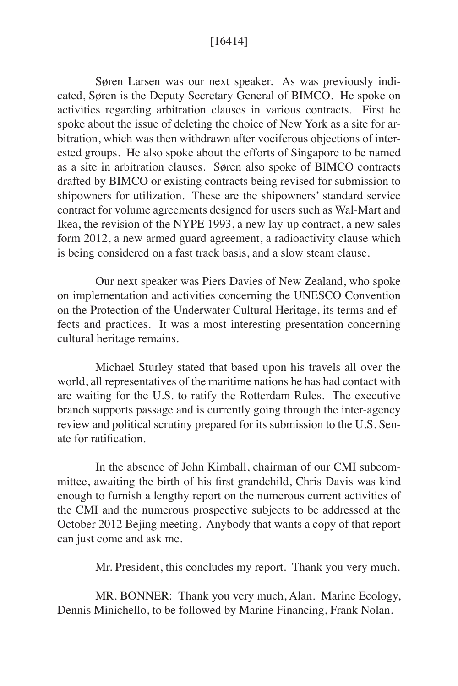## [16414]

Søren Larsen was our next speaker. As was previously indicated, Søren is the Deputy Secretary General of BIMCO. He spoke on activities regarding arbitration clauses in various contracts. First he spoke about the issue of deleting the choice of New York as a site for arbitration, which was then withdrawn after vociferous objections of interested groups. He also spoke about the efforts of Singapore to be named as a site in arbitration clauses. Søren also spoke of BIMCO contracts drafted by BIMCO or existing contracts being revised for submission to shipowners for utilization. These are the shipowners' standard service contract for volume agreements designed for users such as Wal-Mart and Ikea, the revision of the NYPE 1993, a new lay-up contract, a new sales form 2012, a new armed guard agreement, a radioactivity clause which is being considered on a fast track basis, and a slow steam clause.

 Our next speaker was Piers Davies of New Zealand, who spoke on implementation and activities concerning the UNESCO Convention on the Protection of the Underwater Cultural Heritage, its terms and effects and practices. It was a most interesting presentation concerning cultural heritage remains.

Michael Sturley stated that based upon his travels all over the world, all representatives of the maritime nations he has had contact with are waiting for the U.S. to ratify the Rotterdam Rules. The executive branch supports passage and is currently going through the inter-agency review and political scrutiny prepared for its submission to the U.S. Senate for ratification.

 In the absence of John Kimball, chairman of our CMI subcommittee, awaiting the birth of his first grandchild, Chris Davis was kind enough to furnish a lengthy report on the numerous current activities of the CMI and the numerous prospective subjects to be addressed at the October 2012 Bejing meeting. Anybody that wants a copy of that report can just come and ask me.

Mr. President, this concludes my report. Thank you very much.

MR. BONNER: Thank you very much, Alan. Marine Ecology, Dennis Minichello, to be followed by Marine Financing, Frank Nolan.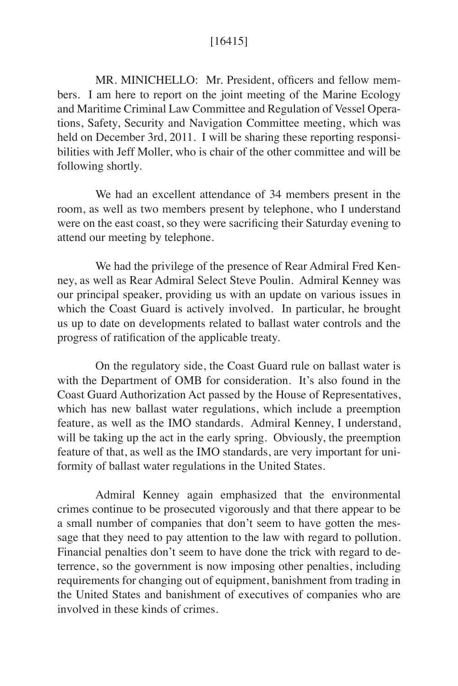## [16415]

MR. MINICHELLO: Mr. President, officers and fellow members. I am here to report on the joint meeting of the Marine Ecology and Maritime Criminal Law Committee and Regulation of Vessel Operations, Safety, Security and Navigation Committee meeting, which was held on December 3rd, 2011. I will be sharing these reporting responsibilities with Jeff Moller, who is chair of the other committee and will be following shortly.

We had an excellent attendance of 34 members present in the room, as well as two members present by telephone, who I understand were on the east coast, so they were sacrificing their Saturday evening to attend our meeting by telephone.

We had the privilege of the presence of Rear Admiral Fred Kenney, as well as Rear Admiral Select Steve Poulin. Admiral Kenney was our principal speaker, providing us with an update on various issues in which the Coast Guard is actively involved. In particular, he brought us up to date on developments related to ballast water controls and the progress of ratification of the applicable treaty.

On the regulatory side, the Coast Guard rule on ballast water is with the Department of OMB for consideration. It's also found in the Coast Guard Authorization Act passed by the House of Representatives, which has new ballast water regulations, which include a preemption feature, as well as the IMO standards. Admiral Kenney, I understand, will be taking up the act in the early spring. Obviously, the preemption feature of that, as well as the IMO standards, are very important for uniformity of ballast water regulations in the United States.

Admiral Kenney again emphasized that the environmental crimes continue to be prosecuted vigorously and that there appear to be a small number of companies that don't seem to have gotten the message that they need to pay attention to the law with regard to pollution. Financial penalties don't seem to have done the trick with regard to deterrence, so the government is now imposing other penalties, including requirements for changing out of equipment, banishment from trading in the United States and banishment of executives of companies who are involved in these kinds of crimes.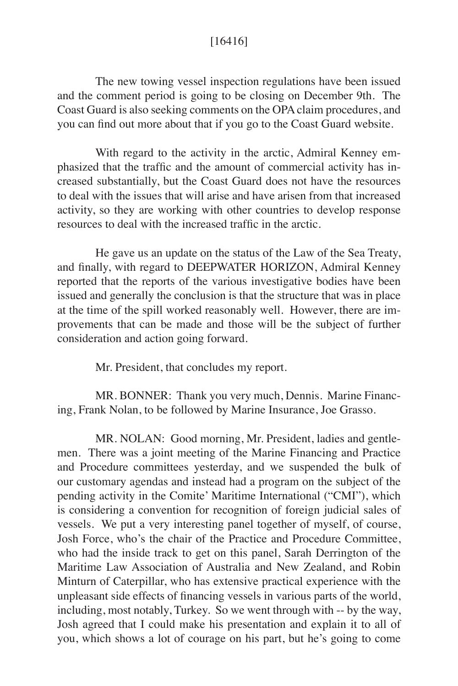## [16416]

The new towing vessel inspection regulations have been issued and the comment period is going to be closing on December 9th. The Coast Guard is also seeking comments on the OPA claim procedures, and you can find out more about that if you go to the Coast Guard website.

 With regard to the activity in the arctic, Admiral Kenney emphasized that the traffic and the amount of commercial activity has increased substantially, but the Coast Guard does not have the resources to deal with the issues that will arise and have arisen from that increased activity, so they are working with other countries to develop response resources to deal with the increased traffic in the arctic.

 He gave us an update on the status of the Law of the Sea Treaty, and finally, with regard to DEEPWATER HORIZON, Admiral Kenney reported that the reports of the various investigative bodies have been issued and generally the conclusion is that the structure that was in place at the time of the spill worked reasonably well. However, there are improvements that can be made and those will be the subject of further consideration and action going forward.

Mr. President, that concludes my report.

MR. BONNER: Thank you very much, Dennis. Marine Financing, Frank Nolan, to be followed by Marine Insurance, Joe Grasso.

MR. NOLAN: Good morning, Mr. President, ladies and gentlemen. There was a joint meeting of the Marine Financing and Practice and Procedure committees yesterday, and we suspended the bulk of our customary agendas and instead had a program on the subject of the pending activity in the Comite' Maritime International ("CMI"), which is considering a convention for recognition of foreign judicial sales of vessels. We put a very interesting panel together of myself, of course, Josh Force, who's the chair of the Practice and Procedure Committee, who had the inside track to get on this panel, Sarah Derrington of the Maritime Law Association of Australia and New Zealand, and Robin Minturn of Caterpillar, who has extensive practical experience with the unpleasant side effects of financing vessels in various parts of the world, including, most notably, Turkey. So we went through with -- by the way, Josh agreed that I could make his presentation and explain it to all of you, which shows a lot of courage on his part, but he's going to come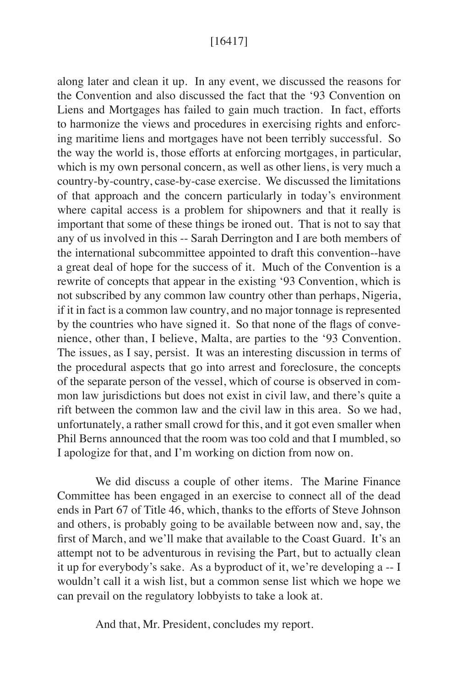## [16417]

along later and clean it up. In any event, we discussed the reasons for the Convention and also discussed the fact that the '93 Convention on Liens and Mortgages has failed to gain much traction. In fact, efforts to harmonize the views and procedures in exercising rights and enforcing maritime liens and mortgages have not been terribly successful. So the way the world is, those efforts at enforcing mortgages, in particular, which is my own personal concern, as well as other liens, is very much a country-by-country, case-by-case exercise. We discussed the limitations of that approach and the concern particularly in today's environment where capital access is a problem for shipowners and that it really is important that some of these things be ironed out. That is not to say that any of us involved in this -- Sarah Derrington and I are both members of the international subcommittee appointed to draft this convention--have a great deal of hope for the success of it. Much of the Convention is a rewrite of concepts that appear in the existing '93 Convention, which is not subscribed by any common law country other than perhaps, Nigeria, if it in fact is a common law country, and no major tonnage is represented by the countries who have signed it. So that none of the flags of convenience, other than, I believe, Malta, are parties to the '93 Convention. The issues, as I say, persist. It was an interesting discussion in terms of the procedural aspects that go into arrest and foreclosure, the concepts of the separate person of the vessel, which of course is observed in common law jurisdictions but does not exist in civil law, and there's quite a rift between the common law and the civil law in this area. So we had, unfortunately, a rather small crowd for this, and it got even smaller when Phil Berns announced that the room was too cold and that I mumbled, so I apologize for that, and I'm working on diction from now on.

We did discuss a couple of other items. The Marine Finance Committee has been engaged in an exercise to connect all of the dead ends in Part 67 of Title 46, which, thanks to the efforts of Steve Johnson and others, is probably going to be available between now and, say, the first of March, and we'll make that available to the Coast Guard. It's an attempt not to be adventurous in revising the Part, but to actually clean it up for everybody's sake. As a byproduct of it, we're developing a -- I wouldn't call it a wish list, but a common sense list which we hope we can prevail on the regulatory lobbyists to take a look at.

And that, Mr. President, concludes my report.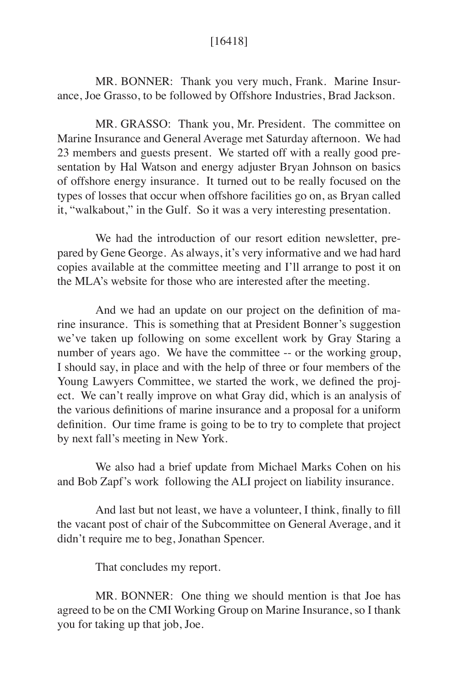## [16418]

MR. BONNER: Thank you very much, Frank. Marine Insurance, Joe Grasso, to be followed by Offshore Industries, Brad Jackson.

MR. GRASSO: Thank you, Mr. President. The committee on Marine Insurance and General Average met Saturday afternoon. We had 23 members and guests present. We started off with a really good presentation by Hal Watson and energy adjuster Bryan Johnson on basics of offshore energy insurance. It turned out to be really focused on the types of losses that occur when offshore facilities go on, as Bryan called it, "walkabout," in the Gulf. So it was a very interesting presentation.

 We had the introduction of our resort edition newsletter, prepared by Gene George. As always, it's very informative and we had hard copies available at the committee meeting and I'll arrange to post it on the MLA's website for those who are interested after the meeting.

 And we had an update on our project on the definition of marine insurance. This is something that at President Bonner's suggestion we've taken up following on some excellent work by Gray Staring a number of years ago. We have the committee -- or the working group, I should say, in place and with the help of three or four members of the Young Lawyers Committee, we started the work, we defined the project. We can't really improve on what Gray did, which is an analysis of the various definitions of marine insurance and a proposal for a uniform definition. Our time frame is going to be to try to complete that project by next fall's meeting in New York.

 We also had a brief update from Michael Marks Cohen on his and Bob Zapf's work following the ALI project on liability insurance.

And last but not least, we have a volunteer, I think, finally to fill the vacant post of chair of the Subcommittee on General Average, and it didn't require me to beg, Jonathan Spencer.

That concludes my report.

 MR. BONNER: One thing we should mention is that Joe has agreed to be on the CMI Working Group on Marine Insurance, so I thank you for taking up that job, Joe.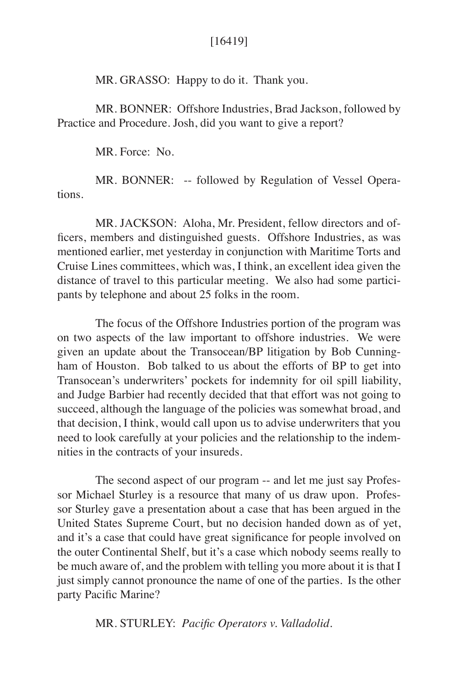## [16419]

MR. GRASSO: Happy to do it. Thank you.

 MR. BONNER: Offshore Industries, Brad Jackson, followed by Practice and Procedure. Josh, did you want to give a report?

MR. Force: No.

MR. BONNER: -- followed by Regulation of Vessel Operations.

 MR. JACKSON: Aloha, Mr. President, fellow directors and officers, members and distinguished guests. Offshore Industries, as was mentioned earlier, met yesterday in conjunction with Maritime Torts and Cruise Lines committees, which was, I think, an excellent idea given the distance of travel to this particular meeting. We also had some participants by telephone and about 25 folks in the room.

 The focus of the Offshore Industries portion of the program was on two aspects of the law important to offshore industries. We were given an update about the Transocean/BP litigation by Bob Cunningham of Houston. Bob talked to us about the efforts of BP to get into Transocean's underwriters' pockets for indemnity for oil spill liability, and Judge Barbier had recently decided that that effort was not going to succeed, although the language of the policies was somewhat broad, and that decision, I think, would call upon us to advise underwriters that you need to look carefully at your policies and the relationship to the indemnities in the contracts of your insureds.

The second aspect of our program -- and let me just say Professor Michael Sturley is a resource that many of us draw upon. Professor Sturley gave a presentation about a case that has been argued in the United States Supreme Court, but no decision handed down as of yet, and it's a case that could have great significance for people involved on the outer Continental Shelf, but it's a case which nobody seems really to be much aware of, and the problem with telling you more about it is that I just simply cannot pronounce the name of one of the parties. Is the other party Pacific Marine?

MR. STURLEY: *Pacific Operators v. Valladolid.*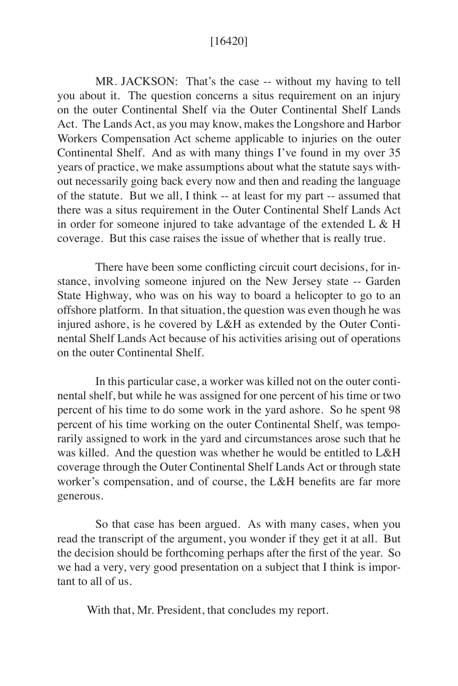## [16420]

MR. JACKSON: That's the case -- without my having to tell you about it. The question concerns a situs requirement on an injury on the outer Continental Shelf via the Outer Continental Shelf Lands Act. The Lands Act, as you may know, makes the Longshore and Harbor Workers Compensation Act scheme applicable to injuries on the outer Continental Shelf. And as with many things I've found in my over 35 years of practice, we make assumptions about what the statute says without necessarily going back every now and then and reading the language of the statute. But we all, I think -- at least for my part -- assumed that there was a situs requirement in the Outer Continental Shelf Lands Act in order for someone injured to take advantage of the extended  $L \& H$ coverage. But this case raises the issue of whether that is really true.

There have been some conflicting circuit court decisions, for instance, involving someone injured on the New Jersey state -- Garden State Highway, who was on his way to board a helicopter to go to an offshore platform. In that situation, the question was even though he was injured ashore, is he covered by L&H as extended by the Outer Continental Shelf Lands Act because of his activities arising out of operations on the outer Continental Shelf.

In this particular case, a worker was killed not on the outer continental shelf, but while he was assigned for one percent of his time or two percent of his time to do some work in the yard ashore. So he spent 98 percent of his time working on the outer Continental Shelf, was temporarily assigned to work in the yard and circumstances arose such that he was killed. And the question was whether he would be entitled to L&H coverage through the Outer Continental Shelf Lands Act or through state worker's compensation, and of course, the L&H benefits are far more generous.

So that case has been argued. As with many cases, when you read the transcript of the argument, you wonder if they get it at all. But the decision should be forthcoming perhaps after the first of the year. So we had a very, very good presentation on a subject that I think is important to all of us.

With that, Mr. President, that concludes my report.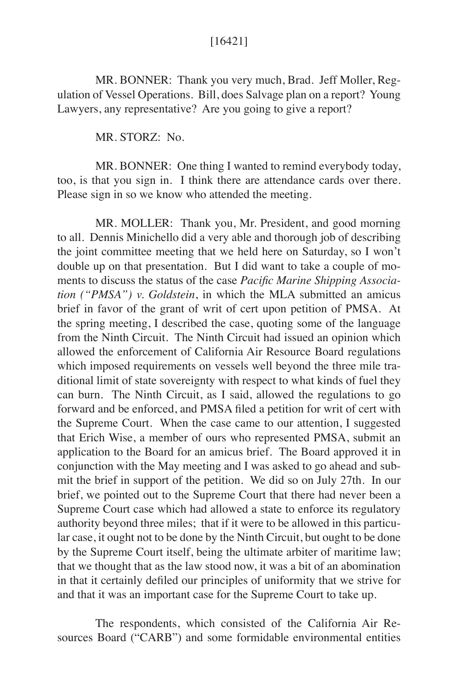## [16421]

MR. BONNER: Thank you very much, Brad. Jeff Moller, Regulation of Vessel Operations. Bill, does Salvage plan on a report? Young Lawyers, any representative? Are you going to give a report?

MR. STORZ: No.

MR. BONNER: One thing I wanted to remind everybody today, too, is that you sign in. I think there are attendance cards over there. Please sign in so we know who attended the meeting.

MR. MOLLER: Thank you, Mr. President, and good morning to all. Dennis Minichello did a very able and thorough job of describing the joint committee meeting that we held here on Saturday, so I won't double up on that presentation. But I did want to take a couple of moments to discuss the status of the case *Pacific Marine Shipping Association ("PMSA") v. Goldstein*, in which the MLA submitted an amicus brief in favor of the grant of writ of cert upon petition of PMSA. At the spring meeting, I described the case, quoting some of the language from the Ninth Circuit. The Ninth Circuit had issued an opinion which allowed the enforcement of California Air Resource Board regulations which imposed requirements on vessels well beyond the three mile traditional limit of state sovereignty with respect to what kinds of fuel they can burn. The Ninth Circuit, as I said, allowed the regulations to go forward and be enforced, and PMSA filed a petition for writ of cert with the Supreme Court. When the case came to our attention, I suggested that Erich Wise, a member of ours who represented PMSA, submit an application to the Board for an amicus brief. The Board approved it in conjunction with the May meeting and I was asked to go ahead and submit the brief in support of the petition. We did so on July 27th. In our brief, we pointed out to the Supreme Court that there had never been a Supreme Court case which had allowed a state to enforce its regulatory authority beyond three miles; that if it were to be allowed in this particular case, it ought not to be done by the Ninth Circuit, but ought to be done by the Supreme Court itself, being the ultimate arbiter of maritime law; that we thought that as the law stood now, it was a bit of an abomination in that it certainly defiled our principles of uniformity that we strive for and that it was an important case for the Supreme Court to take up.

 The respondents, which consisted of the California Air Resources Board ("CARB") and some formidable environmental entities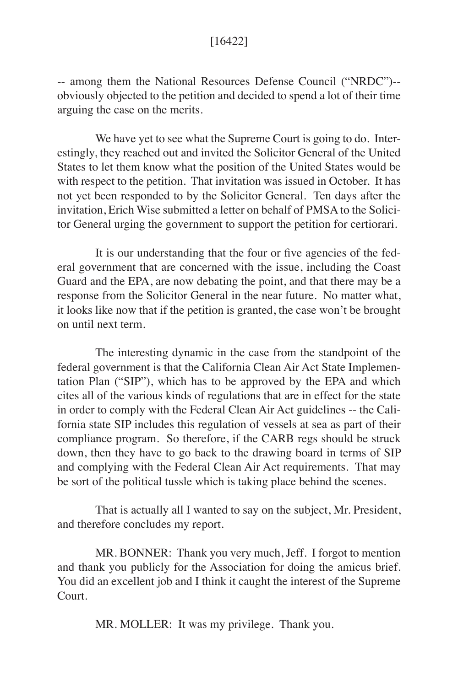## [16422]

-- among them the National Resources Defense Council ("NRDC")- obviously objected to the petition and decided to spend a lot of their time arguing the case on the merits.

We have yet to see what the Supreme Court is going to do. Interestingly, they reached out and invited the Solicitor General of the United States to let them know what the position of the United States would be with respect to the petition. That invitation was issued in October. It has not yet been responded to by the Solicitor General. Ten days after the invitation, Erich Wise submitted a letter on behalf of PMSA to the Solicitor General urging the government to support the petition for certiorari.

 It is our understanding that the four or five agencies of the federal government that are concerned with the issue, including the Coast Guard and the EPA, are now debating the point, and that there may be a response from the Solicitor General in the near future. No matter what, it looks like now that if the petition is granted, the case won't be brought on until next term.

 The interesting dynamic in the case from the standpoint of the federal government is that the California Clean Air Act State Implementation Plan ("SIP"), which has to be approved by the EPA and which cites all of the various kinds of regulations that are in effect for the state in order to comply with the Federal Clean Air Act guidelines -- the California state SIP includes this regulation of vessels at sea as part of their compliance program. So therefore, if the CARB regs should be struck down, then they have to go back to the drawing board in terms of SIP and complying with the Federal Clean Air Act requirements. That may be sort of the political tussle which is taking place behind the scenes.

 That is actually all I wanted to say on the subject, Mr. President, and therefore concludes my report.

 MR. BONNER: Thank you very much, Jeff. I forgot to mention and thank you publicly for the Association for doing the amicus brief. You did an excellent job and I think it caught the interest of the Supreme Court.

MR. MOLLER: It was my privilege. Thank you.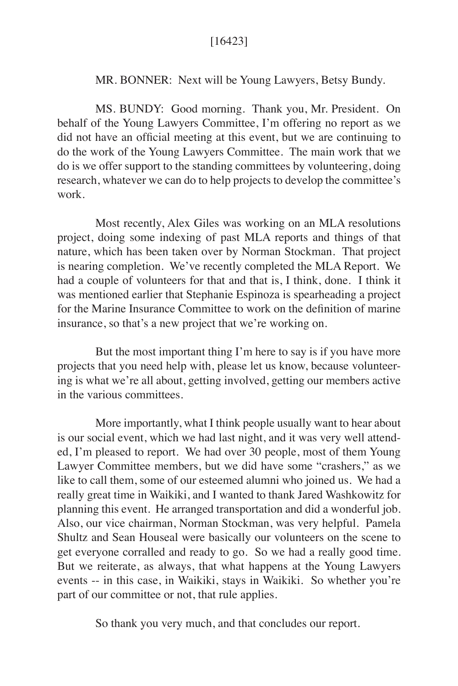## [16423]

### MR. BONNER: Next will be Young Lawyers, Betsy Bundy.

MS. BUNDY: Good morning. Thank you, Mr. President. On behalf of the Young Lawyers Committee, I'm offering no report as we did not have an official meeting at this event, but we are continuing to do the work of the Young Lawyers Committee. The main work that we do is we offer support to the standing committees by volunteering, doing research, whatever we can do to help projects to develop the committee's work.

Most recently, Alex Giles was working on an MLA resolutions project, doing some indexing of past MLA reports and things of that nature, which has been taken over by Norman Stockman. That project is nearing completion. We've recently completed the MLA Report. We had a couple of volunteers for that and that is, I think, done. I think it was mentioned earlier that Stephanie Espinoza is spearheading a project for the Marine Insurance Committee to work on the definition of marine insurance, so that's a new project that we're working on.

But the most important thing  $\Gamma$  m here to say is if you have more projects that you need help with, please let us know, because volunteering is what we're all about, getting involved, getting our members active in the various committees.

More importantly, what I think people usually want to hear about is our social event, which we had last night, and it was very well attended, I'm pleased to report. We had over 30 people, most of them Young Lawyer Committee members, but we did have some "crashers," as we like to call them, some of our esteemed alumni who joined us. We had a really great time in Waikiki, and I wanted to thank Jared Washkowitz for planning this event. He arranged transportation and did a wonderful job. Also, our vice chairman, Norman Stockman, was very helpful. Pamela Shultz and Sean Houseal were basically our volunteers on the scene to get everyone corralled and ready to go. So we had a really good time. But we reiterate, as always, that what happens at the Young Lawyers events -- in this case, in Waikiki, stays in Waikiki. So whether you're part of our committee or not, that rule applies.

So thank you very much, and that concludes our report.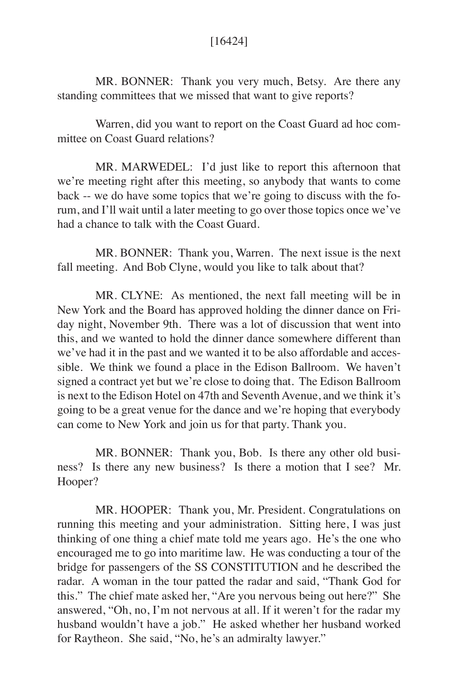## [16424]

MR. BONNER: Thank you very much, Betsy. Are there any standing committees that we missed that want to give reports?

Warren, did you want to report on the Coast Guard ad hoc committee on Coast Guard relations?

MR. MARWEDEL: I'd just like to report this afternoon that we're meeting right after this meeting, so anybody that wants to come back -- we do have some topics that we're going to discuss with the forum, and I'll wait until a later meeting to go over those topics once we've had a chance to talk with the Coast Guard.

MR. BONNER: Thank you, Warren. The next issue is the next fall meeting. And Bob Clyne, would you like to talk about that?

 MR. CLYNE: As mentioned, the next fall meeting will be in New York and the Board has approved holding the dinner dance on Friday night, November 9th. There was a lot of discussion that went into this, and we wanted to hold the dinner dance somewhere different than we've had it in the past and we wanted it to be also affordable and accessible. We think we found a place in the Edison Ballroom. We haven't signed a contract yet but we're close to doing that. The Edison Ballroom is next to the Edison Hotel on 47th and Seventh Avenue, and we think it's going to be a great venue for the dance and we're hoping that everybody can come to New York and join us for that party. Thank you.

 MR. BONNER: Thank you, Bob. Is there any other old business? Is there any new business? Is there a motion that I see? Mr. Hooper?

MR. HOOPER: Thank you, Mr. President. Congratulations on running this meeting and your administration. Sitting here, I was just thinking of one thing a chief mate told me years ago. He's the one who encouraged me to go into maritime law. He was conducting a tour of the bridge for passengers of the SS CONSTITUTION and he described the radar. A woman in the tour patted the radar and said, "Thank God for this." The chief mate asked her, "Are you nervous being out here?" She answered, "Oh, no, I'm not nervous at all. If it weren't for the radar my husband wouldn't have a job." He asked whether her husband worked for Raytheon. She said, "No, he's an admiralty lawyer."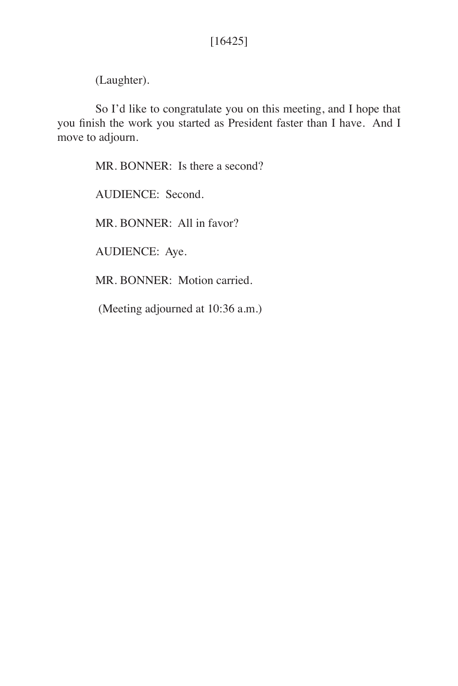(Laughter).

So I'd like to congratulate you on this meeting, and I hope that you finish the work you started as President faster than I have. And I move to adjourn.

MR. BONNER: Is there a second?

AUDIENCE: Second.

MR. BONNER: All in favor?

AUDIENCE: Aye.

MR. BONNER: Motion carried.

(Meeting adjourned at 10:36 a.m.)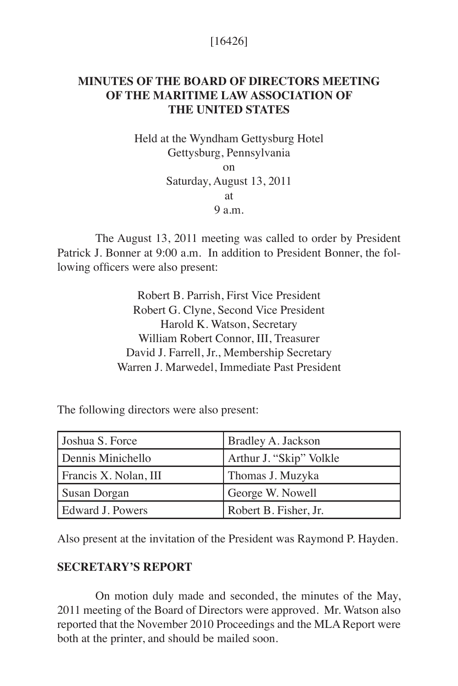# [16426]

# **MINUTES OF THE BOARD OF DIRECTORS MEETING OF THE MARITIME LAW ASSOCIATION OF THE UNITED STATES**

Held at the Wyndham Gettysburg Hotel Gettysburg, Pennsylvania on Saturday, August 13, 2011 at  $9<sub>9</sub>$  m.

The August 13, 2011 meeting was called to order by President Patrick J. Bonner at 9:00 a.m. In addition to President Bonner, the following officers were also present:

> Robert B. Parrish, First Vice President Robert G. Clyne, Second Vice President Harold K. Watson, Secretary William Robert Connor, III, Treasurer David J. Farrell, Jr., Membership Secretary Warren J. Marwedel, Immediate Past President

The following directors were also present:

| Joshua S. Force         | <b>Bradley A. Jackson</b> |
|-------------------------|---------------------------|
| Dennis Minichello       | Arthur J. "Skip" Volkle   |
| Francis X. Nolan, III   | Thomas J. Muzyka          |
| Susan Dorgan            | George W. Nowell          |
| <b>Edward J. Powers</b> | Robert B. Fisher, Jr.     |

Also present at the invitation of the President was Raymond P. Hayden.

## **SECRETARY'S REPORT**

On motion duly made and seconded, the minutes of the May, 2011 meeting of the Board of Directors were approved. Mr. Watson also reported that the November 2010 Proceedings and the MLA Report were both at the printer, and should be mailed soon.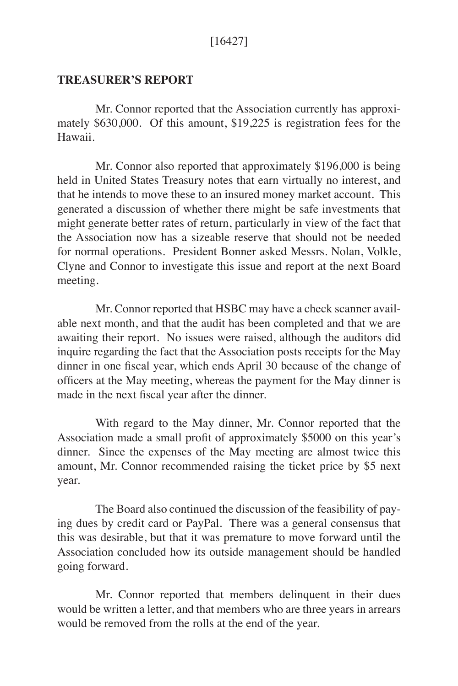## **TREASURER'S REPORT**

Mr. Connor reported that the Association currently has approximately \$630,000. Of this amount, \$19,225 is registration fees for the Hawaii.

Mr. Connor also reported that approximately \$196,000 is being held in United States Treasury notes that earn virtually no interest, and that he intends to move these to an insured money market account. This generated a discussion of whether there might be safe investments that might generate better rates of return, particularly in view of the fact that the Association now has a sizeable reserve that should not be needed for normal operations. President Bonner asked Messrs. Nolan, Volkle, Clyne and Connor to investigate this issue and report at the next Board meeting.

Mr. Connor reported that HSBC may have a check scanner available next month, and that the audit has been completed and that we are awaiting their report. No issues were raised, although the auditors did inquire regarding the fact that the Association posts receipts for the May dinner in one fiscal year, which ends April 30 because of the change of officers at the May meeting, whereas the payment for the May dinner is made in the next fiscal year after the dinner.

With regard to the May dinner, Mr. Connor reported that the Association made a small profit of approximately \$5000 on this year's dinner. Since the expenses of the May meeting are almost twice this amount, Mr. Connor recommended raising the ticket price by \$5 next year.

The Board also continued the discussion of the feasibility of paying dues by credit card or PayPal. There was a general consensus that this was desirable, but that it was premature to move forward until the Association concluded how its outside management should be handled going forward.

Mr. Connor reported that members delinquent in their dues would be written a letter, and that members who are three years in arrears would be removed from the rolls at the end of the year.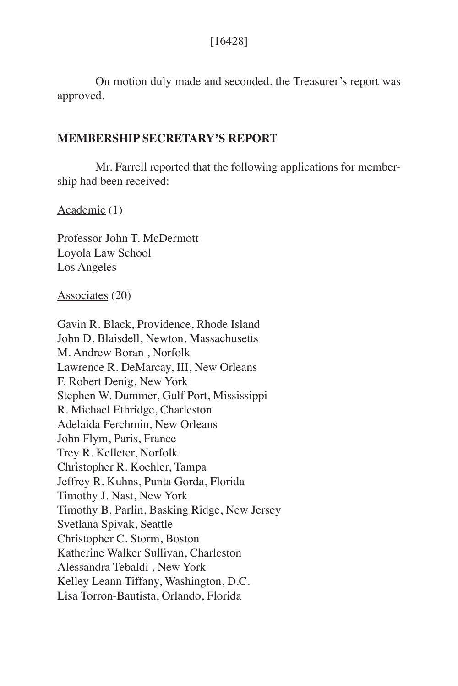On motion duly made and seconded, the Treasurer's report was approved.

## **MEMBERSHIP SECRETARY'S REPORT**

Mr. Farrell reported that the following applications for membership had been received:

Academic (1)

Professor John T. McDermott Loyola Law School Los Angeles

Associates (20)

Gavin R. Black, Providence, Rhode Island John D. Blaisdell, Newton, Massachusetts M. Andrew Boran , Norfolk Lawrence R. DeMarcay, III, New Orleans F. Robert Denig, New York Stephen W. Dummer, Gulf Port, Mississippi R. Michael Ethridge, Charleston Adelaida Ferchmin, New Orleans John Flym, Paris, France Trey R. Kelleter, Norfolk Christopher R. Koehler, Tampa Jeffrey R. Kuhns, Punta Gorda, Florida Timothy J. Nast, New York Timothy B. Parlin, Basking Ridge, New Jersey Svetlana Spivak, Seattle Christopher C. Storm, Boston Katherine Walker Sullivan, Charleston Alessandra Tebaldi , New York Kelley Leann Tiffany, Washington, D.C. Lisa Torron-Bautista, Orlando, Florida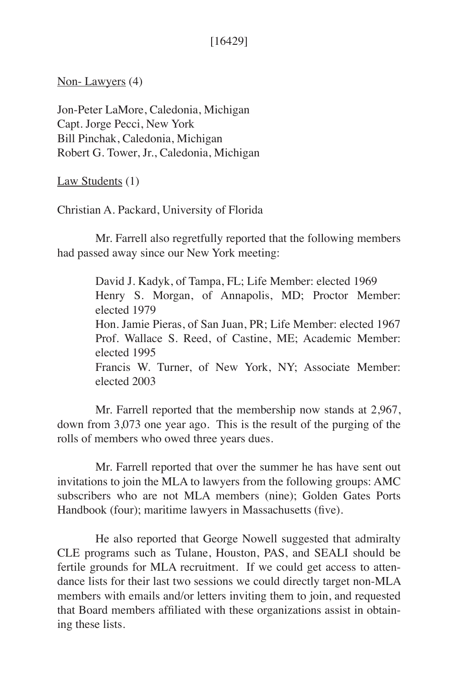# [16429]

Non- Lawyers (4)

Jon-Peter LaMore, Caledonia, Michigan Capt. Jorge Pecci, New York Bill Pinchak, Caledonia, Michigan Robert G. Tower, Jr., Caledonia, Michigan

Law Students (1)

Christian A. Packard, University of Florida

Mr. Farrell also regretfully reported that the following members had passed away since our New York meeting:

> David J. Kadyk, of Tampa, FL; Life Member: elected 1969 Henry S. Morgan, of Annapolis, MD; Proctor Member: elected 1979 Hon. Jamie Pieras, of San Juan, PR; Life Member: elected 1967 Prof. Wallace S. Reed, of Castine, ME; Academic Member: elected 1995 Francis W. Turner, of New York, NY; Associate Member: elected 2003

Mr. Farrell reported that the membership now stands at 2,967, down from 3,073 one year ago. This is the result of the purging of the rolls of members who owed three years dues.

Mr. Farrell reported that over the summer he has have sent out invitations to join the MLA to lawyers from the following groups: AMC subscribers who are not MLA members (nine); Golden Gates Ports Handbook (four); maritime lawyers in Massachusetts (five).

He also reported that George Nowell suggested that admiralty CLE programs such as Tulane, Houston, PAS, and SEALI should be fertile grounds for MLA recruitment. If we could get access to attendance lists for their last two sessions we could directly target non-MLA members with emails and/or letters inviting them to join, and requested that Board members affiliated with these organizations assist in obtaining these lists.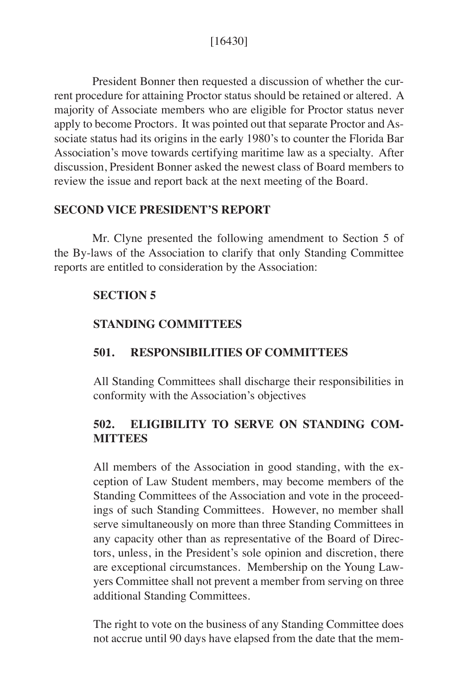President Bonner then requested a discussion of whether the current procedure for attaining Proctor status should be retained or altered. A majority of Associate members who are eligible for Proctor status never apply to become Proctors. It was pointed out that separate Proctor and Associate status had its origins in the early 1980's to counter the Florida Bar Association's move towards certifying maritime law as a specialty. After discussion, President Bonner asked the newest class of Board members to review the issue and report back at the next meeting of the Board.

## **SECOND VICE PRESIDENT'S REPORT**

Mr. Clyne presented the following amendment to Section 5 of the By-laws of the Association to clarify that only Standing Committee reports are entitled to consideration by the Association:

## **SECTION 5**

# **STANDING COMMITTEES**

# **501. RESPONSIBILITIES OF COMMITTEES**

All Standing Committees shall discharge their responsibilities in conformity with the Association's objectives

# **502. ELIGIBILITY TO SERVE ON STANDING COM-MITTEES**

All members of the Association in good standing, with the exception of Law Student members, may become members of the Standing Committees of the Association and vote in the proceedings of such Standing Committees. However, no member shall serve simultaneously on more than three Standing Committees in any capacity other than as representative of the Board of Directors, unless, in the President's sole opinion and discretion, there are exceptional circumstances. Membership on the Young Lawyers Committee shall not prevent a member from serving on three additional Standing Committees.

The right to vote on the business of any Standing Committee does not accrue until 90 days have elapsed from the date that the mem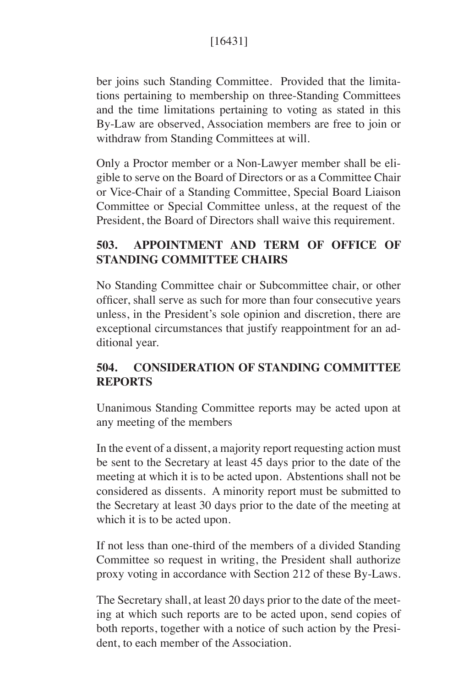ber joins such Standing Committee. Provided that the limitations pertaining to membership on three-Standing Committees and the time limitations pertaining to voting as stated in this By-Law are observed, Association members are free to join or withdraw from Standing Committees at will.

Only a Proctor member or a Non-Lawyer member shall be eligible to serve on the Board of Directors or as a Committee Chair or Vice-Chair of a Standing Committee, Special Board Liaison Committee or Special Committee unless, at the request of the President, the Board of Directors shall waive this requirement.

# **503. APPOINTMENT AND TERM OF OFFICE OF STANDING COMMITTEE CHAIRS**

No Standing Committee chair or Subcommittee chair, or other officer, shall serve as such for more than four consecutive years unless, in the President's sole opinion and discretion, there are exceptional circumstances that justify reappointment for an additional year.

# **504. CONSIDERATION OF STANDING COMMITTEE REPORTS**

Unanimous Standing Committee reports may be acted upon at any meeting of the members

In the event of a dissent, a majority report requesting action must be sent to the Secretary at least 45 days prior to the date of the meeting at which it is to be acted upon. Abstentions shall not be considered as dissents. A minority report must be submitted to the Secretary at least 30 days prior to the date of the meeting at which it is to be acted upon.

If not less than one-third of the members of a divided Standing Committee so request in writing, the President shall authorize proxy voting in accordance with Section 212 of these By-Laws.

The Secretary shall, at least 20 days prior to the date of the meeting at which such reports are to be acted upon, send copies of both reports, together with a notice of such action by the President, to each member of the Association.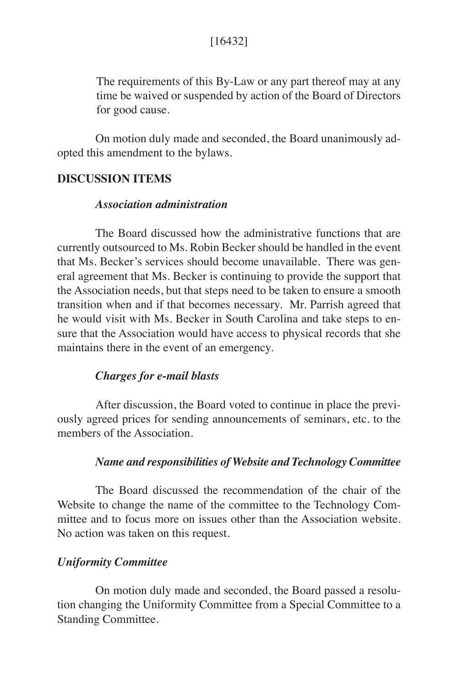The requirements of this By-Law or any part thereof may at any time be waived or suspended by action of the Board of Directors for good cause.

On motion duly made and seconded, the Board unanimously adopted this amendment to the bylaws.

## **DISCUSSION ITEMS**

## *Association administration*

The Board discussed how the administrative functions that are currently outsourced to Ms. Robin Becker should be handled in the event that Ms. Becker's services should become unavailable. There was general agreement that Ms. Becker is continuing to provide the support that the Association needs, but that steps need to be taken to ensure a smooth transition when and if that becomes necessary. Mr. Parrish agreed that he would visit with Ms. Becker in South Carolina and take steps to ensure that the Association would have access to physical records that she maintains there in the event of an emergency.

#### *Charges for e-mail blasts*

After discussion, the Board voted to continue in place the previously agreed prices for sending announcements of seminars, etc. to the members of the Association.

#### *Name and responsibilities of Website and Technology Committee*

The Board discussed the recommendation of the chair of the Website to change the name of the committee to the Technology Committee and to focus more on issues other than the Association website. No action was taken on this request.

#### *Uniformity Committee*

On motion duly made and seconded, the Board passed a resolution changing the Uniformity Committee from a Special Committee to a Standing Committee.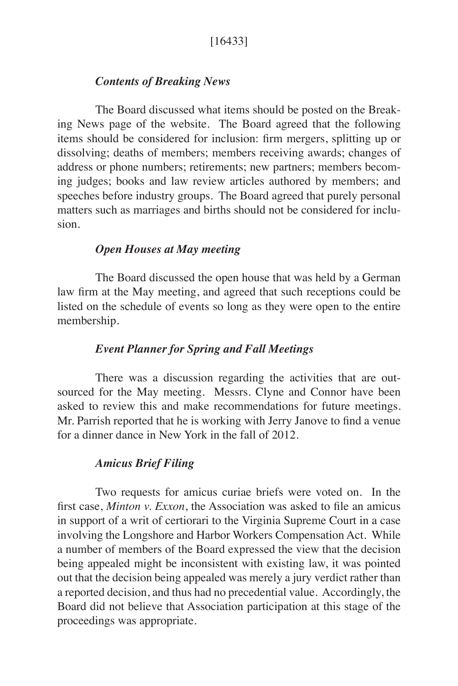# *Contents of Breaking News*

The Board discussed what items should be posted on the Breaking News page of the website. The Board agreed that the following items should be considered for inclusion: firm mergers, splitting up or dissolving; deaths of members; members receiving awards; changes of address or phone numbers; retirements; new partners; members becoming judges; books and law review articles authored by members; and speeches before industry groups. The Board agreed that purely personal matters such as marriages and births should not be considered for inclusion.

# *Open Houses at May meeting*

The Board discussed the open house that was held by a German law firm at the May meeting, and agreed that such receptions could be listed on the schedule of events so long as they were open to the entire membership.

## *Event Planner for Spring and Fall Meetings*

There was a discussion regarding the activities that are outsourced for the May meeting. Messrs. Clyne and Connor have been asked to review this and make recommendations for future meetings. Mr. Parrish reported that he is working with Jerry Janove to find a venue for a dinner dance in New York in the fall of 2012.

# *Amicus Brief Filing*

Two requests for amicus curiae briefs were voted on. In the first case, *Minton v. Exxon*, the Association was asked to file an amicus in support of a writ of certiorari to the Virginia Supreme Court in a case involving the Longshore and Harbor Workers Compensation Act. While a number of members of the Board expressed the view that the decision being appealed might be inconsistent with existing law, it was pointed out that the decision being appealed was merely a jury verdict rather than a reported decision, and thus had no precedential value. Accordingly, the Board did not believe that Association participation at this stage of the proceedings was appropriate.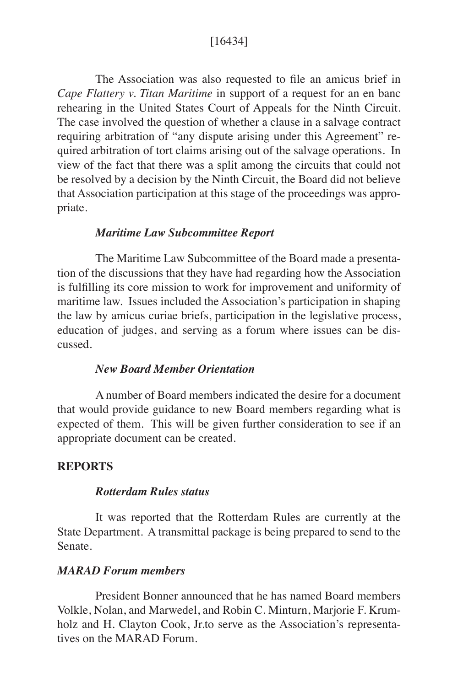## [16434]

The Association was also requested to file an amicus brief in *Cape Flattery v. Titan Maritime* in support of a request for an en banc rehearing in the United States Court of Appeals for the Ninth Circuit. The case involved the question of whether a clause in a salvage contract requiring arbitration of "any dispute arising under this Agreement" required arbitration of tort claims arising out of the salvage operations. In view of the fact that there was a split among the circuits that could not be resolved by a decision by the Ninth Circuit, the Board did not believe that Association participation at this stage of the proceedings was appropriate.

### *Maritime Law Subcommittee Report*

The Maritime Law Subcommittee of the Board made a presentation of the discussions that they have had regarding how the Association is fulfilling its core mission to work for improvement and uniformity of maritime law. Issues included the Association's participation in shaping the law by amicus curiae briefs, participation in the legislative process, education of judges, and serving as a forum where issues can be discussed.

## *New Board Member Orientation*

A number of Board members indicated the desire for a document that would provide guidance to new Board members regarding what is expected of them. This will be given further consideration to see if an appropriate document can be created.

#### **REPORTS**

#### *Rotterdam Rules status*

It was reported that the Rotterdam Rules are currently at the State Department. A transmittal package is being prepared to send to the Senate.

## *MARAD Forum members*

President Bonner announced that he has named Board members Volkle, Nolan, and Marwedel, and Robin C. Minturn, Marjorie F. Krumholz and H. Clayton Cook, Jr.to serve as the Association's representatives on the MARAD Forum.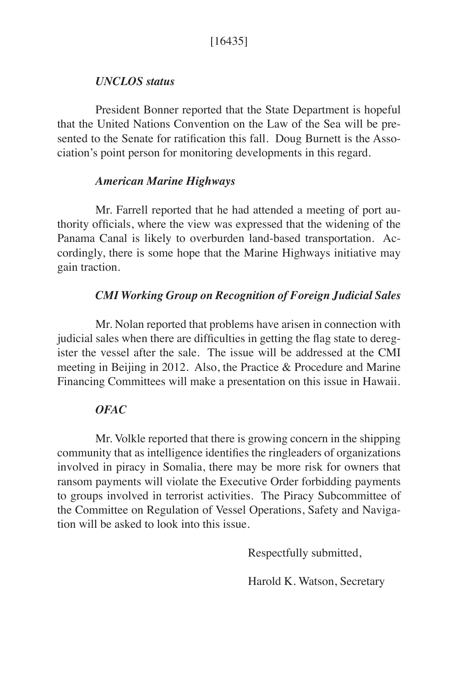# *UNCLOS status*

President Bonner reported that the State Department is hopeful that the United Nations Convention on the Law of the Sea will be presented to the Senate for ratification this fall. Doug Burnett is the Association's point person for monitoring developments in this regard.

# *American Marine Highways*

Mr. Farrell reported that he had attended a meeting of port authority officials, where the view was expressed that the widening of the Panama Canal is likely to overburden land-based transportation. Accordingly, there is some hope that the Marine Highways initiative may gain traction.

# *CMI Working Group on Recognition of Foreign Judicial Sales*

Mr. Nolan reported that problems have arisen in connection with judicial sales when there are difficulties in getting the flag state to deregister the vessel after the sale. The issue will be addressed at the CMI meeting in Beijing in 2012. Also, the Practice & Procedure and Marine Financing Committees will make a presentation on this issue in Hawaii.

# *OFAC*

Mr. Volkle reported that there is growing concern in the shipping community that as intelligence identifies the ringleaders of organizations involved in piracy in Somalia, there may be more risk for owners that ransom payments will violate the Executive Order forbidding payments to groups involved in terrorist activities. The Piracy Subcommittee of the Committee on Regulation of Vessel Operations, Safety and Navigation will be asked to look into this issue.

Respectfully submitted,

Harold K. Watson, Secretary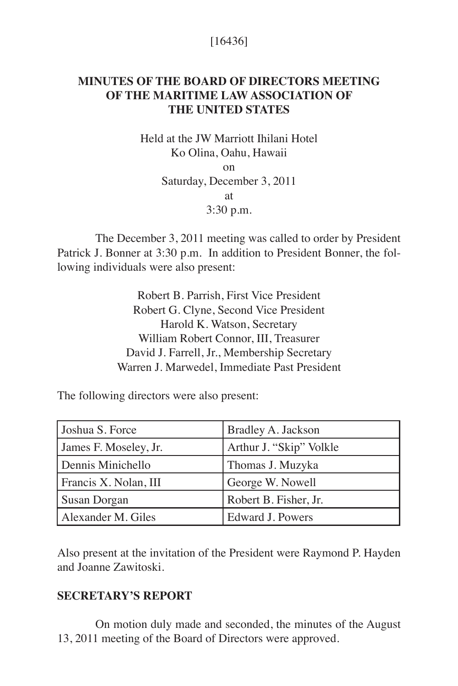# [16436]

# **MINUTES OF THE BOARD OF DIRECTORS MEETING OF THE MARITIME LAW ASSOCIATION OF THE UNITED STATES**

Held at the JW Marriott Ihilani Hotel Ko Olina, Oahu, Hawaii on Saturday, December 3, 2011 at 3:30 p.m.

The December 3, 2011 meeting was called to order by President Patrick J. Bonner at 3:30 p.m. In addition to President Bonner, the following individuals were also present:

> Robert B. Parrish, First Vice President Robert G. Clyne, Second Vice President Harold K. Watson, Secretary William Robert Connor, III, Treasurer David J. Farrell, Jr., Membership Secretary Warren J. Marwedel, Immediate Past President

The following directors were also present:

| Joshua S. Force       | Bradley A. Jackson      |
|-----------------------|-------------------------|
| James F. Moseley, Jr. | Arthur J. "Skip" Volkle |
| Dennis Minichello     | Thomas J. Muzyka        |
| Francis X. Nolan, III | George W. Nowell        |
| Susan Dorgan          | Robert B. Fisher, Jr.   |
| Alexander M. Giles    | Edward J. Powers        |

Also present at the invitation of the President were Raymond P. Hayden and Joanne Zawitoski.

## **SECRETARY'S REPORT**

On motion duly made and seconded, the minutes of the August 13, 2011 meeting of the Board of Directors were approved.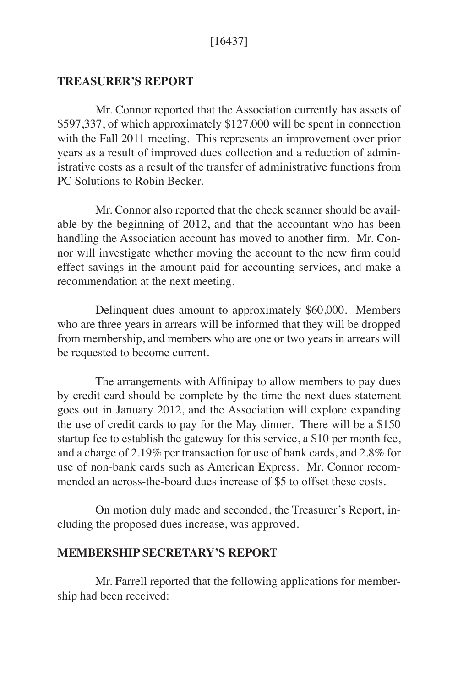## **TREASURER'S REPORT**

Mr. Connor reported that the Association currently has assets of \$597,337, of which approximately \$127,000 will be spent in connection with the Fall 2011 meeting. This represents an improvement over prior years as a result of improved dues collection and a reduction of administrative costs as a result of the transfer of administrative functions from PC Solutions to Robin Becker.

Mr. Connor also reported that the check scanner should be available by the beginning of 2012, and that the accountant who has been handling the Association account has moved to another firm. Mr. Connor will investigate whether moving the account to the new firm could effect savings in the amount paid for accounting services, and make a recommendation at the next meeting.

Delinquent dues amount to approximately \$60,000. Members who are three years in arrears will be informed that they will be dropped from membership, and members who are one or two years in arrears will be requested to become current.

The arrangements with Affinipay to allow members to pay dues by credit card should be complete by the time the next dues statement goes out in January 2012, and the Association will explore expanding the use of credit cards to pay for the May dinner. There will be a \$150 startup fee to establish the gateway for this service, a \$10 per month fee, and a charge of 2.19% per transaction for use of bank cards, and 2.8% for use of non-bank cards such as American Express. Mr. Connor recommended an across-the-board dues increase of \$5 to offset these costs.

On motion duly made and seconded, the Treasurer's Report, including the proposed dues increase, was approved.

#### **MEMBERSHIP SECRETARY'S REPORT**

Mr. Farrell reported that the following applications for membership had been received: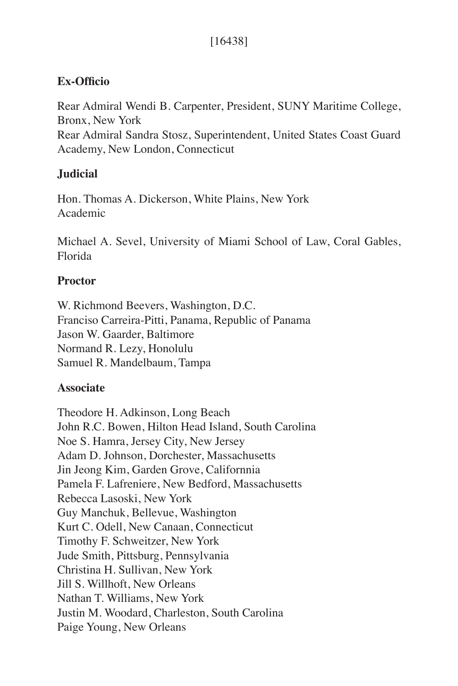# [16438]

# **Ex-Officio**

Rear Admiral Wendi B. Carpenter, President, SUNY Maritime College, Bronx, New York Rear Admiral Sandra Stosz, Superintendent, United States Coast Guard Academy, New London, Connecticut

# **Judicial**

Hon. Thomas A. Dickerson, White Plains, New York Academic

Michael A. Sevel, University of Miami School of Law, Coral Gables, Florida

# **Proctor**

W. Richmond Beevers, Washington, D.C. Franciso Carreira-Pitti, Panama, Republic of Panama Jason W. Gaarder, Baltimore Normand R. Lezy, Honolulu Samuel R. Mandelbaum, Tampa

# **Associate**

Theodore H. Adkinson, Long Beach John R.C. Bowen, Hilton Head Island, South Carolina Noe S. Hamra, Jersey City, New Jersey Adam D. Johnson, Dorchester, Massachusetts Jin Jeong Kim, Garden Grove, Californnia Pamela F. Lafreniere, New Bedford, Massachusetts Rebecca Lasoski, New York Guy Manchuk, Bellevue, Washington Kurt C. Odell, New Canaan, Connecticut Timothy F. Schweitzer, New York Jude Smith, Pittsburg, Pennsylvania Christina H. Sullivan, New York Jill S. Willhoft, New Orleans Nathan T. Williams, New York Justin M. Woodard, Charleston, South Carolina Paige Young, New Orleans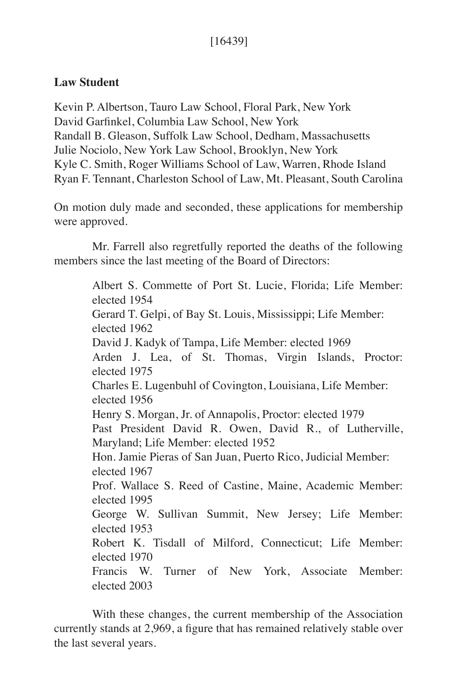# [16439]

# **Law Student**

Kevin P. Albertson, Tauro Law School, Floral Park, New York David Garfinkel, Columbia Law School, New York Randall B. Gleason, Suffolk Law School, Dedham, Massachusetts Julie Nociolo, New York Law School, Brooklyn, New York Kyle C. Smith, Roger Williams School of Law, Warren, Rhode Island Ryan F. Tennant, Charleston School of Law, Mt. Pleasant, South Carolina

On motion duly made and seconded, these applications for membership were approved.

Mr. Farrell also regretfully reported the deaths of the following members since the last meeting of the Board of Directors:

> Albert S. Commette of Port St. Lucie, Florida; Life Member: elected 1954 Gerard T. Gelpi, of Bay St. Louis, Mississippi; Life Member: elected 1962 David J. Kadyk of Tampa, Life Member: elected 1969 Arden J. Lea, of St. Thomas, Virgin Islands, Proctor: elected 1975 Charles E. Lugenbuhl of Covington, Louisiana, Life Member: elected 1956 Henry S. Morgan, Jr. of Annapolis, Proctor: elected 1979 Past President David R. Owen, David R., of Lutherville, Maryland; Life Member: elected 1952 Hon. Jamie Pieras of San Juan, Puerto Rico, Judicial Member: elected 1967 Prof. Wallace S. Reed of Castine, Maine, Academic Member: elected 1995 George W. Sullivan Summit, New Jersey; Life Member: elected 1953 Robert K. Tisdall of Milford, Connecticut; Life Member: elected 1970 Francis W. Turner of New York, Associate Member: elected 2003

With these changes, the current membership of the Association currently stands at 2,969, a figure that has remained relatively stable over the last several years.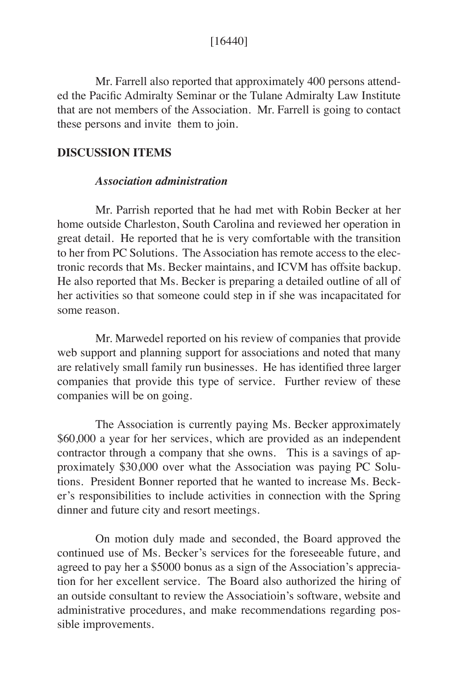## [16440]

Mr. Farrell also reported that approximately 400 persons attended the Pacific Admiralty Seminar or the Tulane Admiralty Law Institute that are not members of the Association. Mr. Farrell is going to contact these persons and invite them to join.

## **DISCUSSION ITEMS**

### *Association administration*

Mr. Parrish reported that he had met with Robin Becker at her home outside Charleston, South Carolina and reviewed her operation in great detail. He reported that he is very comfortable with the transition to her from PC Solutions. The Association has remote access to the electronic records that Ms. Becker maintains, and ICVM has offsite backup. He also reported that Ms. Becker is preparing a detailed outline of all of her activities so that someone could step in if she was incapacitated for some reason.

Mr. Marwedel reported on his review of companies that provide web support and planning support for associations and noted that many are relatively small family run businesses. He has identified three larger companies that provide this type of service. Further review of these companies will be on going.

The Association is currently paying Ms. Becker approximately \$60,000 a year for her services, which are provided as an independent contractor through a company that she owns. This is a savings of approximately \$30,000 over what the Association was paying PC Solutions. President Bonner reported that he wanted to increase Ms. Becker's responsibilities to include activities in connection with the Spring dinner and future city and resort meetings.

On motion duly made and seconded, the Board approved the continued use of Ms. Becker's services for the foreseeable future, and agreed to pay her a \$5000 bonus as a sign of the Association's appreciation for her excellent service. The Board also authorized the hiring of an outside consultant to review the Associatioin's software, website and administrative procedures, and make recommendations regarding possible improvements.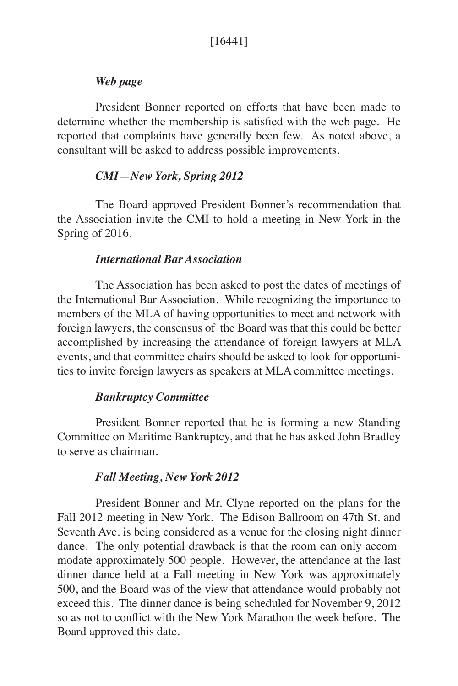## *Web page*

President Bonner reported on efforts that have been made to determine whether the membership is satisfied with the web page. He reported that complaints have generally been few. As noted above, a consultant will be asked to address possible improvements.

### *CMI—New York, Spring 2012*

The Board approved President Bonner's recommendation that the Association invite the CMI to hold a meeting in New York in the Spring of 2016.

#### *International Bar Association*

The Association has been asked to post the dates of meetings of the International Bar Association. While recognizing the importance to members of the MLA of having opportunities to meet and network with foreign lawyers, the consensus of the Board was that this could be better accomplished by increasing the attendance of foreign lawyers at MLA events, and that committee chairs should be asked to look for opportunities to invite foreign lawyers as speakers at MLA committee meetings.

## *Bankruptcy Committee*

President Bonner reported that he is forming a new Standing Committee on Maritime Bankruptcy, and that he has asked John Bradley to serve as chairman.

#### *Fall Meeting, New York 2012*

President Bonner and Mr. Clyne reported on the plans for the Fall 2012 meeting in New York. The Edison Ballroom on 47th St. and Seventh Ave. is being considered as a venue for the closing night dinner dance. The only potential drawback is that the room can only accommodate approximately 500 people. However, the attendance at the last dinner dance held at a Fall meeting in New York was approximately 500, and the Board was of the view that attendance would probably not exceed this. The dinner dance is being scheduled for November 9, 2012 so as not to conflict with the New York Marathon the week before. The Board approved this date.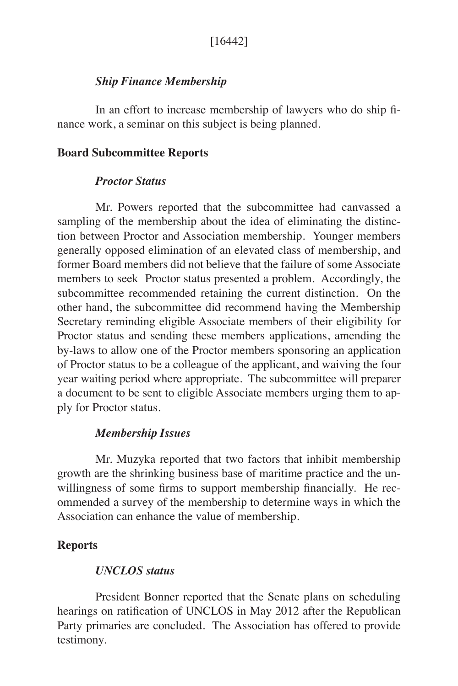# *Ship Finance Membership*

In an effort to increase membership of lawyers who do ship finance work, a seminar on this subject is being planned.

## **Board Subcommittee Reports**

## *Proctor Status*

Mr. Powers reported that the subcommittee had canvassed a sampling of the membership about the idea of eliminating the distinction between Proctor and Association membership. Younger members generally opposed elimination of an elevated class of membership, and former Board members did not believe that the failure of some Associate members to seek Proctor status presented a problem. Accordingly, the subcommittee recommended retaining the current distinction. On the other hand, the subcommittee did recommend having the Membership Secretary reminding eligible Associate members of their eligibility for Proctor status and sending these members applications, amending the by-laws to allow one of the Proctor members sponsoring an application of Proctor status to be a colleague of the applicant, and waiving the four year waiting period where appropriate. The subcommittee will preparer a document to be sent to eligible Associate members urging them to apply for Proctor status.

## *Membership Issues*

Mr. Muzyka reported that two factors that inhibit membership growth are the shrinking business base of maritime practice and the unwillingness of some firms to support membership financially. He recommended a survey of the membership to determine ways in which the Association can enhance the value of membership.

## **Reports**

## *UNCLOS status*

President Bonner reported that the Senate plans on scheduling hearings on ratification of UNCLOS in May 2012 after the Republican Party primaries are concluded. The Association has offered to provide testimony.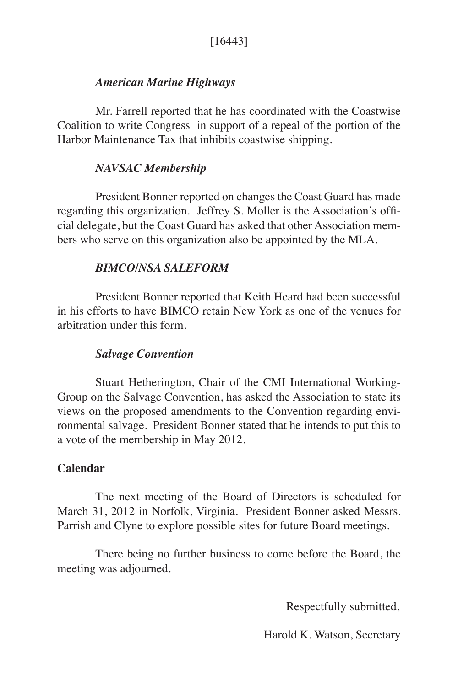# *American Marine Highways*

Mr. Farrell reported that he has coordinated with the Coastwise Coalition to write Congress in support of a repeal of the portion of the Harbor Maintenance Tax that inhibits coastwise shipping.

# *NAVSAC Membership*

President Bonner reported on changes the Coast Guard has made regarding this organization. Jeffrey S. Moller is the Association's official delegate, but the Coast Guard has asked that other Association members who serve on this organization also be appointed by the MLA.

# *BIMCO/NSA SALEFORM*

President Bonner reported that Keith Heard had been successful in his efforts to have BIMCO retain New York as one of the venues for arbitration under this form.

# *Salvage Convention*

Stuart Hetherington, Chair of the CMI International Working-Group on the Salvage Convention, has asked the Association to state its views on the proposed amendments to the Convention regarding environmental salvage. President Bonner stated that he intends to put this to a vote of the membership in May 2012.

# **Calendar**

The next meeting of the Board of Directors is scheduled for March 31, 2012 in Norfolk, Virginia. President Bonner asked Messrs. Parrish and Clyne to explore possible sites for future Board meetings.

There being no further business to come before the Board, the meeting was adjourned.

Respectfully submitted,

Harold K. Watson, Secretary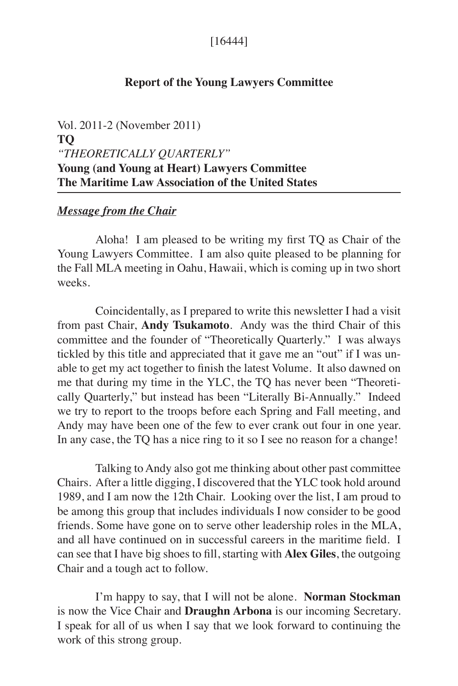## [16444]

## **Report of the Young Lawyers Committee**

Vol. 2011-2 (November 2011) **TQ** *"THEORETICALLY QUARTERLY"* **Young (and Young at Heart) Lawyers Committee The Maritime Law Association of the United States**

#### *Message from the Chair*

Aloha! I am pleased to be writing my first TQ as Chair of the Young Lawyers Committee. I am also quite pleased to be planning for the Fall MLA meeting in Oahu, Hawaii, which is coming up in two short weeks.

Coincidentally, as I prepared to write this newsletter I had a visit from past Chair, **Andy Tsukamoto**. Andy was the third Chair of this committee and the founder of "Theoretically Quarterly." I was always tickled by this title and appreciated that it gave me an "out" if I was unable to get my act together to finish the latest Volume. It also dawned on me that during my time in the YLC, the TQ has never been "Theoretically Quarterly," but instead has been "Literally Bi-Annually." Indeed we try to report to the troops before each Spring and Fall meeting, and Andy may have been one of the few to ever crank out four in one year. In any case, the TQ has a nice ring to it so I see no reason for a change!

Talking to Andy also got me thinking about other past committee Chairs. After a little digging, I discovered that the YLC took hold around 1989, and I am now the 12th Chair. Looking over the list, I am proud to be among this group that includes individuals I now consider to be good friends. Some have gone on to serve other leadership roles in the MLA, and all have continued on in successful careers in the maritime field. I can see that I have big shoes to fill, starting with **Alex Giles**, the outgoing Chair and a tough act to follow.

I'm happy to say, that I will not be alone. **Norman Stockman**  is now the Vice Chair and **Draughn Arbona** is our incoming Secretary. I speak for all of us when I say that we look forward to continuing the work of this strong group.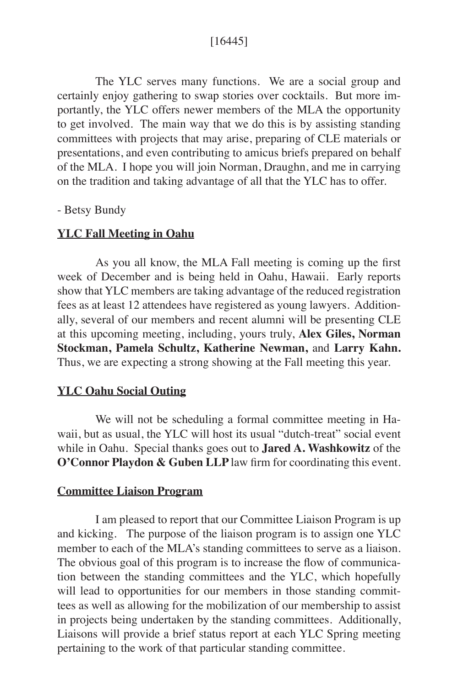## [16445]

The YLC serves many functions. We are a social group and certainly enjoy gathering to swap stories over cocktails. But more importantly, the YLC offers newer members of the MLA the opportunity to get involved. The main way that we do this is by assisting standing committees with projects that may arise, preparing of CLE materials or presentations, and even contributing to amicus briefs prepared on behalf of the MLA. I hope you will join Norman, Draughn, and me in carrying on the tradition and taking advantage of all that the YLC has to offer.

#### - Betsy Bundy

#### **YLC Fall Meeting in Oahu**

As you all know, the MLA Fall meeting is coming up the first week of December and is being held in Oahu, Hawaii. Early reports show that YLC members are taking advantage of the reduced registration fees as at least 12 attendees have registered as young lawyers. Additionally, several of our members and recent alumni will be presenting CLE at this upcoming meeting, including, yours truly, **Alex Giles, Norman Stockman, Pamela Schultz, Katherine Newman,** and **Larry Kahn.**  Thus, we are expecting a strong showing at the Fall meeting this year.

## **YLC Oahu Social Outing**

We will not be scheduling a formal committee meeting in Hawaii, but as usual, the YLC will host its usual "dutch-treat" social event while in Oahu. Special thanks goes out to **Jared A. Washkowitz** of the **O'Connor Playdon & Guben LLP** law firm for coordinating this event.

### **Committee Liaison Program**

I am pleased to report that our Committee Liaison Program is up and kicking. The purpose of the liaison program is to assign one YLC member to each of the MLA's standing committees to serve as a liaison. The obvious goal of this program is to increase the flow of communication between the standing committees and the YLC, which hopefully will lead to opportunities for our members in those standing committees as well as allowing for the mobilization of our membership to assist in projects being undertaken by the standing committees. Additionally, Liaisons will provide a brief status report at each YLC Spring meeting pertaining to the work of that particular standing committee.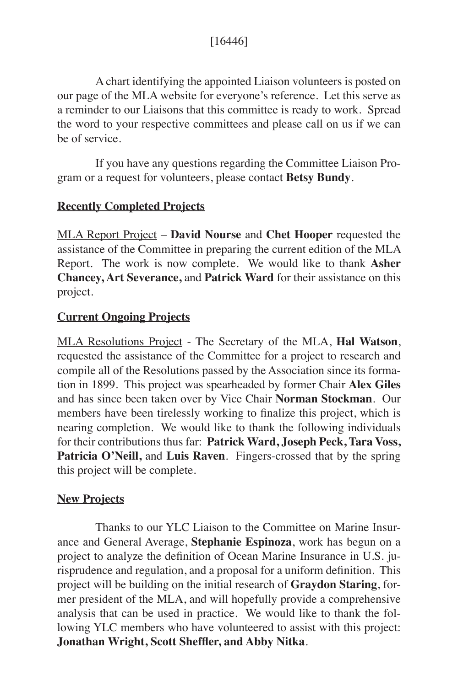A chart identifying the appointed Liaison volunteers is posted on our page of the MLA website for everyone's reference. Let this serve as a reminder to our Liaisons that this committee is ready to work. Spread the word to your respective committees and please call on us if we can be of service.

If you have any questions regarding the Committee Liaison Program or a request for volunteers, please contact **Betsy Bundy**.

# **Recently Completed Projects**

MLA Report Project – **David Nourse** and **Chet Hooper** requested the assistance of the Committee in preparing the current edition of the MLA Report. The work is now complete. We would like to thank **Asher Chancey, Art Severance,** and **Patrick Ward** for their assistance on this project.

# **Current Ongoing Projects**

MLA Resolutions Project - The Secretary of the MLA, **Hal Watson**, requested the assistance of the Committee for a project to research and compile all of the Resolutions passed by the Association since its formation in 1899. This project was spearheaded by former Chair **Alex Giles**  and has since been taken over by Vice Chair **Norman Stockman**. Our members have been tirelessly working to finalize this project, which is nearing completion. We would like to thank the following individuals for their contributions thus far: **Patrick Ward, Joseph Peck, Tara Voss,**  Patricia O'Neill, and Luis Raven. Fingers-crossed that by the spring this project will be complete.

# **New Projects**

Thanks to our YLC Liaison to the Committee on Marine Insurance and General Average, **Stephanie Espinoza**, work has begun on a project to analyze the definition of Ocean Marine Insurance in U.S. jurisprudence and regulation, and a proposal for a uniform definition. This project will be building on the initial research of **Graydon Staring**, former president of the MLA, and will hopefully provide a comprehensive analysis that can be used in practice. We would like to thank the following YLC members who have volunteered to assist with this project: **Jonathan Wright, Scott Sheffler, and Abby Nitka**.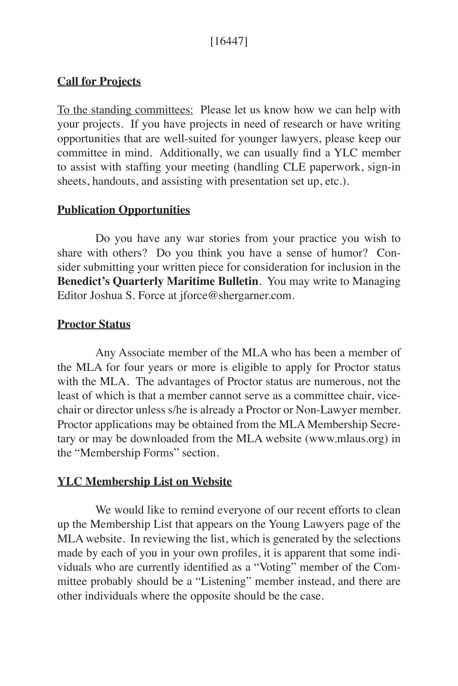# [16447]

## **Call for Projects**

To the standing committees: Please let us know how we can help with your projects. If you have projects in need of research or have writing opportunities that are well-suited for younger lawyers, please keep our committee in mind. Additionally, we can usually find a YLC member to assist with staffing your meeting (handling CLE paperwork, sign-in sheets, handouts, and assisting with presentation set up, etc.).

## **Publication Opportunities**

Do you have any war stories from your practice you wish to share with others? Do you think you have a sense of humor? Consider submitting your written piece for consideration for inclusion in the **Benedict's Quarterly Maritime Bulletin**. You may write to Managing Editor Joshua S. Force at jforce@shergarner.com.

## **Proctor Status**

Any Associate member of the MLA who has been a member of the MLA for four years or more is eligible to apply for Proctor status with the MLA. The advantages of Proctor status are numerous, not the least of which is that a member cannot serve as a committee chair, vicechair or director unless s/he is already a Proctor or Non-Lawyer member. Proctor applications may be obtained from the MLA Membership Secretary or may be downloaded from the MLA website (www.mlaus.org) in the "Membership Forms" section.

# **YLC Membership List on Website**

We would like to remind everyone of our recent efforts to clean up the Membership List that appears on the Young Lawyers page of the MLA website. In reviewing the list, which is generated by the selections made by each of you in your own profiles, it is apparent that some individuals who are currently identified as a "Voting" member of the Committee probably should be a "Listening" member instead, and there are other individuals where the opposite should be the case.